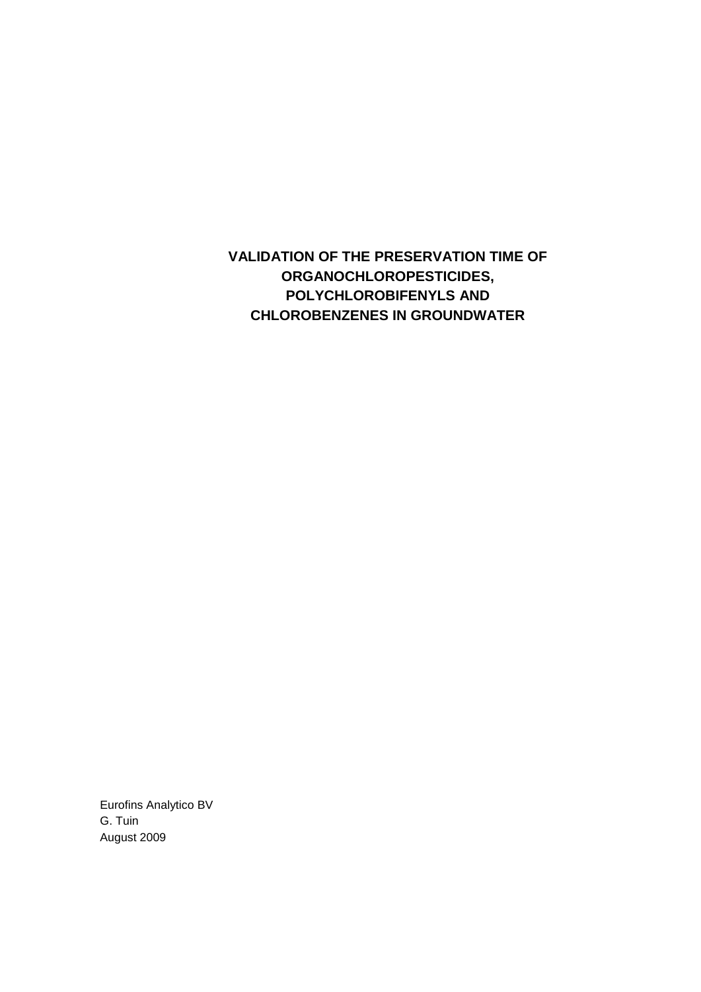**VALIDATION OF THE PRESERVATION TIME OF ORGANOCHLOROPESTICIDES, POLYCHLOROBIFENYLS AND CHLOROBENZENES IN GROUNDWATER**

Eurofins Analytico BV G. Tuin August 2009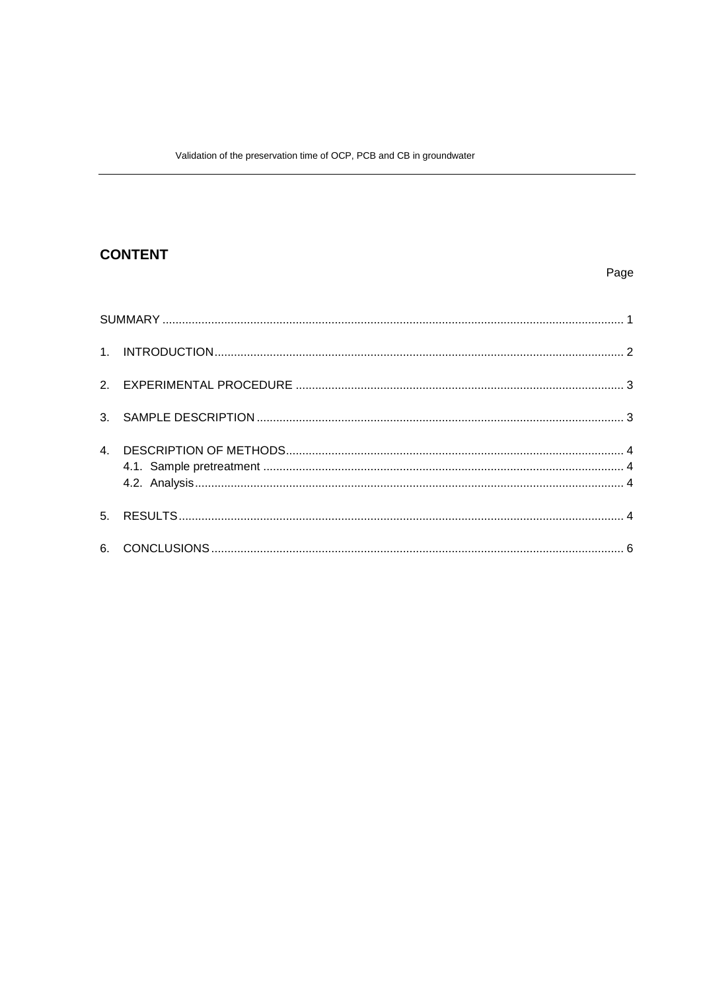# **CONTENT**

## Page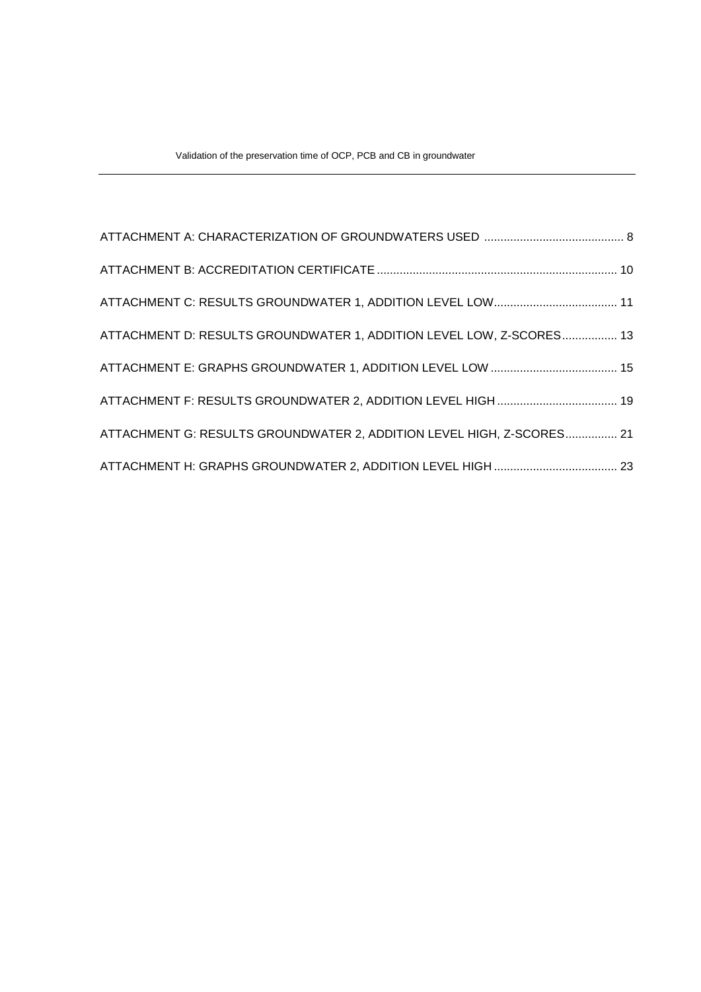| ATTACHMENT D: RESULTS GROUNDWATER 1, ADDITION LEVEL LOW, Z-SCORES 13  |  |
|-----------------------------------------------------------------------|--|
|                                                                       |  |
|                                                                       |  |
| ATTACHMENT G: RESULTS GROUNDWATER 2, ADDITION LEVEL HIGH, Z-SCORES 21 |  |
|                                                                       |  |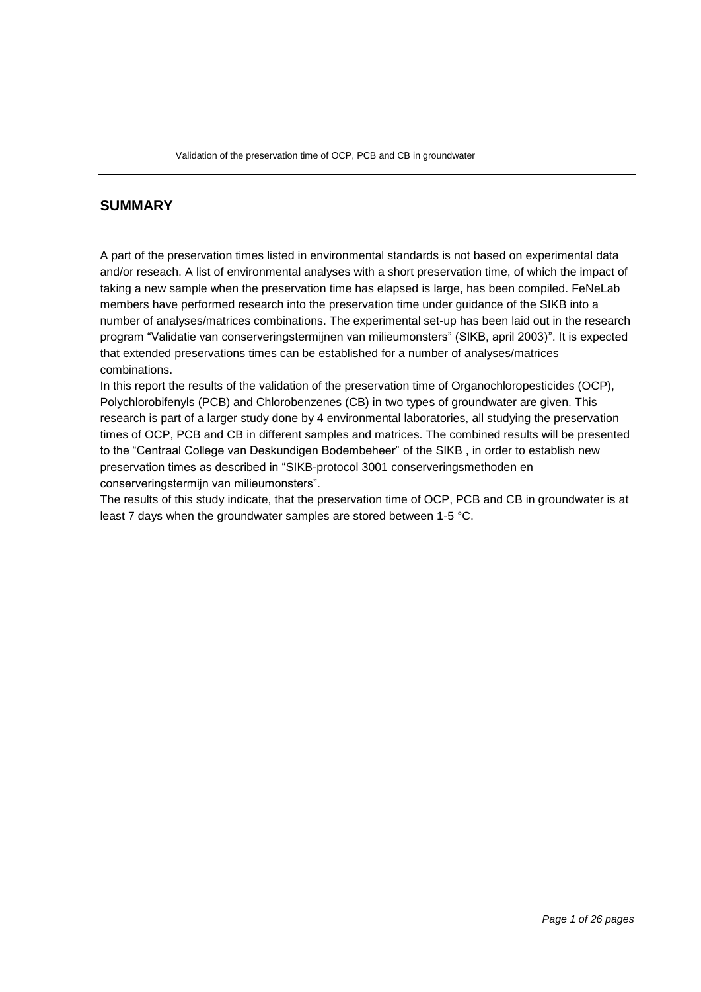### **SUMMARY**

A part of the preservation times listed in environmental standards is not based on experimental data and/or reseach. A list of environmental analyses with a short preservation time, of which the impact of taking a new sample when the preservation time has elapsed is large, has been compiled. FeNeLab members have performed research into the preservation time under guidance of the SIKB into a number of analyses/matrices combinations. The experimental set-up has been laid out in the research program "Validatie van conserveringstermijnen van milieumonsters" (SIKB, april 2003)". It is expected that extended preservations times can be established for a number of analyses/matrices combinations.

In this report the results of the validation of the preservation time of Organochloropesticides (OCP), Polychlorobifenyls (PCB) and Chlorobenzenes (CB) in two types of groundwater are given. This research is part of a larger study done by 4 environmental laboratories, all studying the preservation times of OCP, PCB and CB in different samples and matrices. The combined results will be presented to the "Centraal College van Deskundigen Bodembeheer" of the SIKB , in order to establish new preservation times as described in "SIKB-protocol 3001 conserveringsmethoden en conserveringstermijn van milieumonsters".

The results of this study indicate, that the preservation time of OCP, PCB and CB in groundwater is at least 7 days when the groundwater samples are stored between 1-5 °C.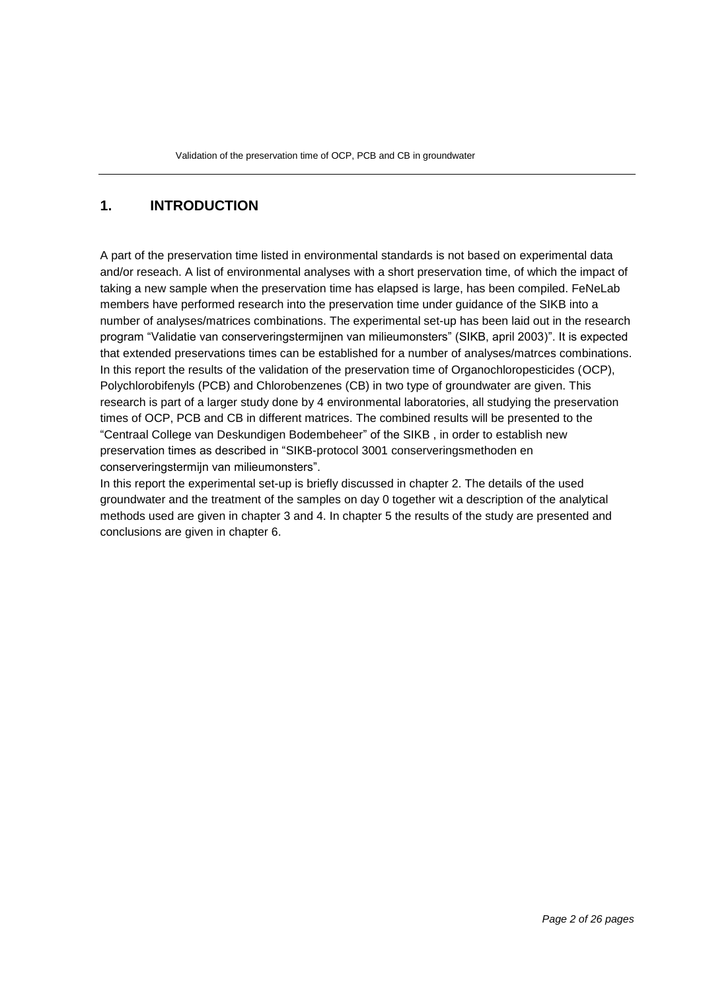# **1. INTRODUCTION**

A part of the preservation time listed in environmental standards is not based on experimental data and/or reseach. A list of environmental analyses with a short preservation time, of which the impact of taking a new sample when the preservation time has elapsed is large, has been compiled. FeNeLab members have performed research into the preservation time under guidance of the SIKB into a number of analyses/matrices combinations. The experimental set-up has been laid out in the research program "Validatie van conserveringstermijnen van milieumonsters" (SIKB, april 2003)". It is expected that extended preservations times can be established for a number of analyses/matrces combinations. In this report the results of the validation of the preservation time of Organochloropesticides (OCP), Polychlorobifenyls (PCB) and Chlorobenzenes (CB) in two type of groundwater are given. This research is part of a larger study done by 4 environmental laboratories, all studying the preservation times of OCP, PCB and CB in different matrices. The combined results will be presented to the "Centraal College van Deskundigen Bodembeheer" of the SIKB , in order to establish new preservation times as described in "SIKB-protocol 3001 conserveringsmethoden en conserveringstermijn van milieumonsters".

In this report the experimental set-up is briefly discussed in chapter 2. The details of the used groundwater and the treatment of the samples on day 0 together wit a description of the analytical methods used are given in chapter 3 and 4. In chapter 5 the results of the study are presented and conclusions are given in chapter 6.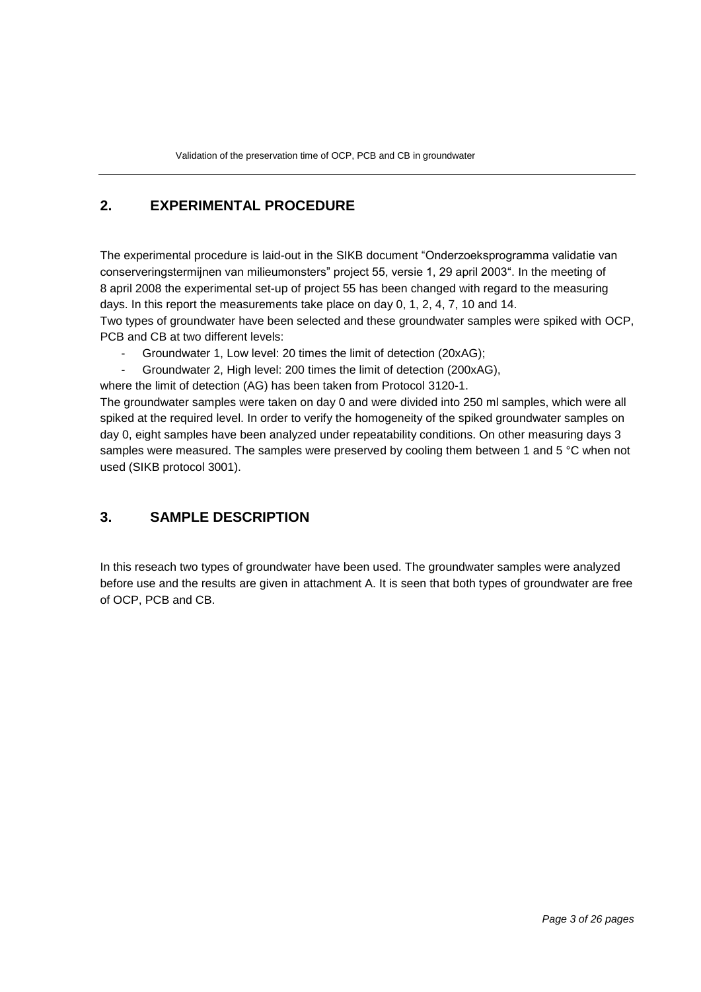# **2. EXPERIMENTAL PROCEDURE**

The experimental procedure is laid-out in the SIKB document "Onderzoeksprogramma validatie van conserveringstermijnen van milieumonsters" project 55, versie 1, 29 april 2003". In the meeting of 8 april 2008 the experimental set-up of project 55 has been changed with regard to the measuring days. In this report the measurements take place on day 0, 1, 2, 4, 7, 10 and 14.

Two types of groundwater have been selected and these groundwater samples were spiked with OCP, PCB and CB at two different levels:

Groundwater 1, Low level: 20 times the limit of detection (20xAG);

- Groundwater 2, High level: 200 times the limit of detection (200xAG),

where the limit of detection (AG) has been taken from Protocol 3120-1.

The groundwater samples were taken on day 0 and were divided into 250 ml samples, which were all spiked at the required level. In order to verify the homogeneity of the spiked groundwater samples on day 0, eight samples have been analyzed under repeatability conditions. On other measuring days 3 samples were measured. The samples were preserved by cooling them between 1 and 5 °C when not used (SIKB protocol 3001).

### **3. SAMPLE DESCRIPTION**

In this reseach two types of groundwater have been used. The groundwater samples were analyzed before use and the results are given in attachment A. It is seen that both types of groundwater are free of OCP, PCB and CB.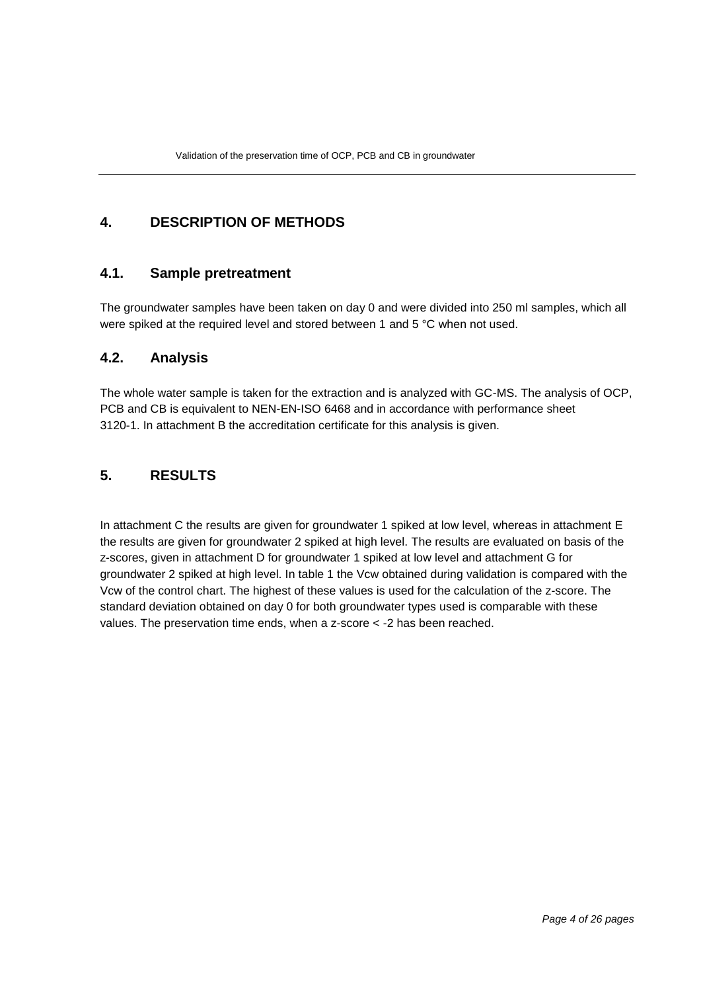# **4. DESCRIPTION OF METHODS**

### **4.1. Sample pretreatment**

The groundwater samples have been taken on day 0 and were divided into 250 ml samples, which all were spiked at the required level and stored between 1 and 5 °C when not used.

### **4.2. Analysis**

The whole water sample is taken for the extraction and is analyzed with GC-MS. The analysis of OCP, PCB and CB is equivalent to NEN-EN-ISO 6468 and in accordance with performance sheet 3120-1. In attachment B the accreditation certificate for this analysis is given.

### **5. RESULTS**

In attachment C the results are given for groundwater 1 spiked at low level, whereas in attachment E the results are given for groundwater 2 spiked at high level. The results are evaluated on basis of the z-scores, given in attachment D for groundwater 1 spiked at low level and attachment G for groundwater 2 spiked at high level. In table 1 the Vcw obtained during validation is compared with the Vcw of the control chart. The highest of these values is used for the calculation of the z-score. The standard deviation obtained on day 0 for both groundwater types used is comparable with these values. The preservation time ends, when a z-score < -2 has been reached.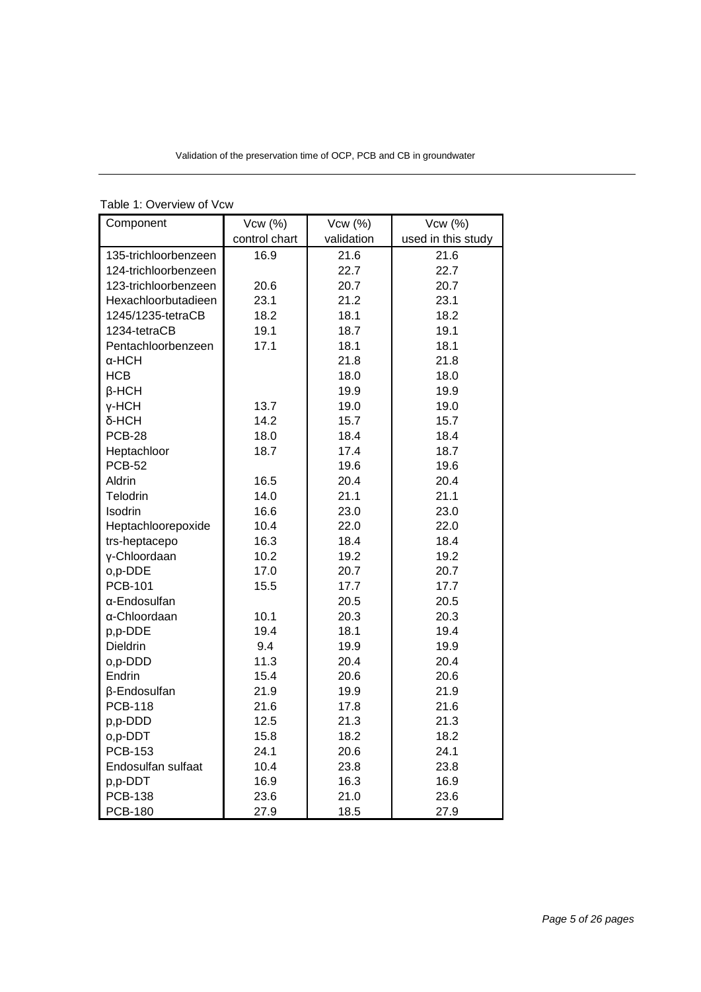| Component            | Vcw (%)       | Vcw (%)    | Vcw(%)             |
|----------------------|---------------|------------|--------------------|
|                      | control chart | validation | used in this study |
| 135-trichloorbenzeen | 16.9          | 21.6       | 21.6               |
| 124-trichloorbenzeen |               | 22.7       | 22.7               |
| 123-trichloorbenzeen | 20.6          | 20.7       | 20.7               |
| Hexachloorbutadieen  | 23.1          | 21.2       | 23.1               |
| 1245/1235-tetraCB    | 18.2          | 18.1       | 18.2               |
| 1234-tetraCB         | 19.1          | 18.7       | 19.1               |
| Pentachloorbenzeen   | 17.1          | 18.1       | 18.1               |
| α-HCH                |               | 21.8       | 21.8               |
| <b>HCB</b>           |               | 18.0       | 18.0               |
| $\beta$ -HCH         |               | 19.9       | 19.9               |
| y-HCH                | 13.7          | 19.0       | 19.0               |
| δ-HCH                | 14.2          | 15.7       | 15.7               |
| <b>PCB-28</b>        | 18.0          | 18.4       | 18.4               |
| Heptachloor          | 18.7          | 17.4       | 18.7               |
| <b>PCB-52</b>        |               | 19.6       | 19.6               |
| Aldrin               | 16.5          | 20.4       | 20.4               |
| Telodrin             | 14.0          | 21.1       | 21.1               |
| Isodrin              | 16.6          | 23.0       | 23.0               |
| Heptachloorepoxide   | 10.4          | 22.0       | 22.0               |
| trs-heptacepo        | 16.3          | 18.4       | 18.4               |
| y-Chloordaan         | 10.2          | 19.2       | 19.2               |
| o,p-DDE              | 17.0          | 20.7       | 20.7               |
| <b>PCB-101</b>       | 15.5          | 17.7       | 17.7               |
| α-Endosulfan         |               | 20.5       | 20.5               |
| α-Chloordaan         | 10.1          | 20.3       | 20.3               |
| p,p-DDE              | 19.4          | 18.1       | 19.4               |
| Dieldrin             | 9.4           | 19.9       | 19.9               |
| o,p-DDD              | 11.3          | 20.4       | 20.4               |
| Endrin               | 15.4          | 20.6       | 20.6               |
| β-Endosulfan         | 21.9          | 19.9       | 21.9               |
| <b>PCB-118</b>       | 21.6          | 17.8       | 21.6               |
| p,p-DDD              | 12.5          | 21.3       | 21.3               |
| o,p-DDT              | 15.8          | 18.2       | 18.2               |
| <b>PCB-153</b>       | 24.1          | 20.6       | 24.1               |
| Endosulfan sulfaat   | 10.4          | 23.8       | 23.8               |
| p,p-DDT              | 16.9          | 16.3       | 16.9               |
| <b>PCB-138</b>       | 23.6          | 21.0       | 23.6               |
| <b>PCB-180</b>       | 27.9          | 18.5       | 27.9               |

Table 1: Overview of Vcw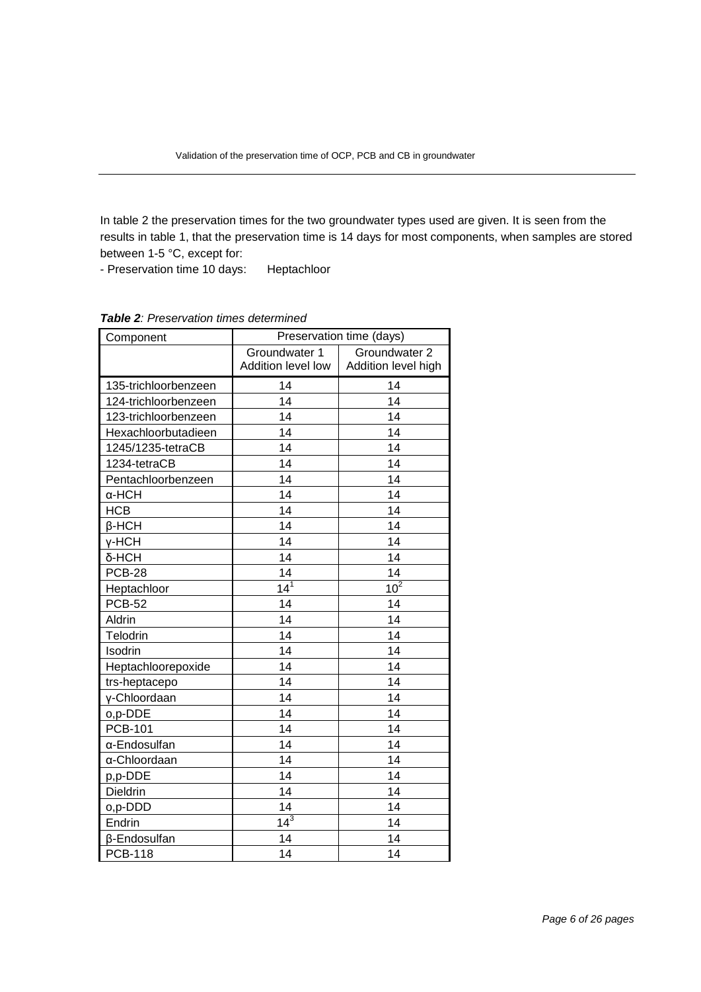In table 2 the preservation times for the two groundwater types used are given. It is seen from the results in table 1, that the preservation time is 14 days for most components, when samples are stored between 1-5 °C, except for:

- Preservation time 10 days: Heptachloor

| Component            | Preservation time (days)            |                                      |  |  |  |
|----------------------|-------------------------------------|--------------------------------------|--|--|--|
|                      | Groundwater 1<br>Addition level low | Groundwater 2<br>Addition level high |  |  |  |
| 135-trichloorbenzeen | 14                                  | 14                                   |  |  |  |
| 124-trichloorbenzeen | 14                                  | 14                                   |  |  |  |
| 123-trichloorbenzeen | 14                                  | 14                                   |  |  |  |
| Hexachloorbutadieen  | 14                                  | 14                                   |  |  |  |
| 1245/1235-tetraCB    | 14                                  | 14                                   |  |  |  |
| 1234-tetraCB         | 14                                  | 14                                   |  |  |  |
| Pentachloorbenzeen   | 14                                  | 14                                   |  |  |  |
| $\alpha$ -HCH        | 14                                  | 14                                   |  |  |  |
| <b>HCB</b>           | 14                                  | 14                                   |  |  |  |
| $\beta$ -HCH         | 14                                  | 14                                   |  |  |  |
| y-HCH                | 14                                  | 14                                   |  |  |  |
| δ-HCH                | 14                                  | 14                                   |  |  |  |
| <b>PCB-28</b>        | 14                                  | 14                                   |  |  |  |
| Heptachloor          | $14^{1}$                            | $10^{\overline{2}}$                  |  |  |  |
| <b>PCB-52</b>        | 14                                  | 14                                   |  |  |  |
| Aldrin               | 14                                  | 14                                   |  |  |  |
| Telodrin             | 14                                  | 14                                   |  |  |  |
| Isodrin              | 14                                  | 14                                   |  |  |  |
| Heptachloorepoxide   | 14                                  | 14                                   |  |  |  |
| trs-heptacepo        | 14                                  | 14                                   |  |  |  |
| y-Chloordaan         | 14                                  | 14                                   |  |  |  |
| o,p-DDE              | 14                                  | 14                                   |  |  |  |
| <b>PCB-101</b>       | 14                                  | 14                                   |  |  |  |
| α-Endosulfan         | 14                                  | 14                                   |  |  |  |
| α-Chloordaan         | 14                                  | 14                                   |  |  |  |
| p,p-DDE              | 14                                  | 14                                   |  |  |  |
| <b>Dieldrin</b>      | 14                                  | 14                                   |  |  |  |
| o,p-DDD              | 14                                  | 14                                   |  |  |  |
| Endrin               | $14^3$                              | 14                                   |  |  |  |
| β-Endosulfan         | 14                                  | 14                                   |  |  |  |
| <b>PCB-118</b>       | 14                                  | 14                                   |  |  |  |

*Table 2: Preservation times determined*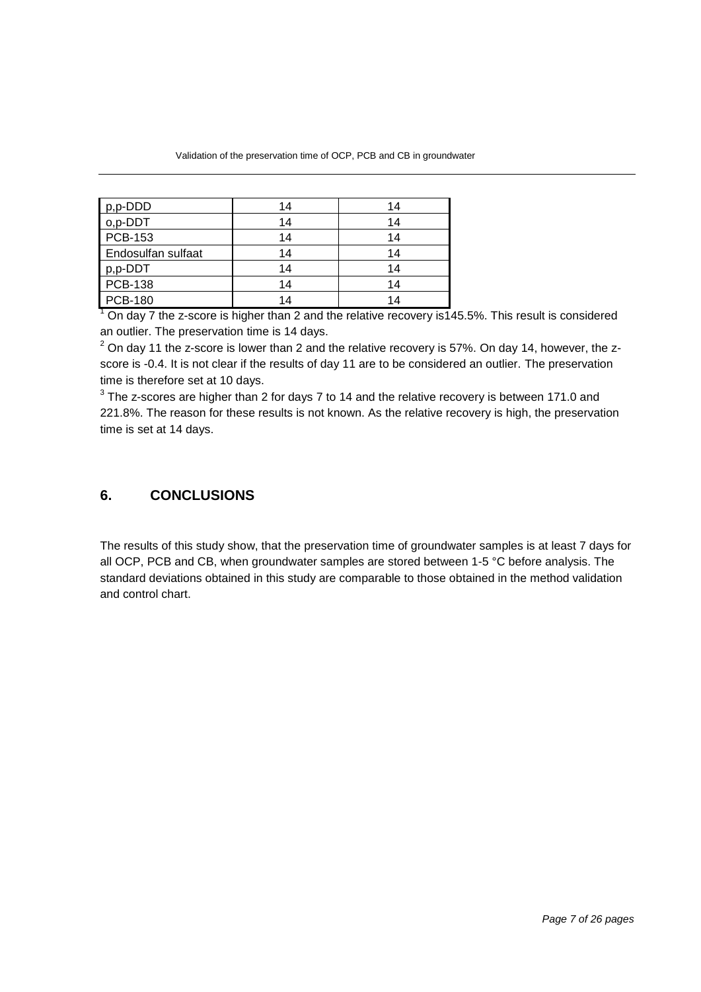| p,p-DDD            | 14 | 14 |
|--------------------|----|----|
| o,p-DDT            | 14 | 14 |
| <b>PCB-153</b>     | 14 | 14 |
| Endosulfan sulfaat | 14 | 14 |
| p,p-DDT            | 14 | 14 |
| PCB-138            | 14 | 14 |
| <b>PCB-180</b>     | 14 |    |

 $1$  On day 7 the z-score is higher than 2 and the relative recovery is 145.5%. This result is considered an outlier. The preservation time is 14 days.

 $2$  On day 11 the z-score is lower than 2 and the relative recovery is 57%. On day 14, however, the zscore is -0.4. It is not clear if the results of day 11 are to be considered an outlier. The preservation time is therefore set at 10 days.

 $3$  The z-scores are higher than 2 for days 7 to 14 and the relative recovery is between 171.0 and 221.8%. The reason for these results is not known. As the relative recovery is high, the preservation time is set at 14 days.

### **6. CONCLUSIONS**

The results of this study show, that the preservation time of groundwater samples is at least 7 days for all OCP, PCB and CB, when groundwater samples are stored between 1-5 °C before analysis. The standard deviations obtained in this study are comparable to those obtained in the method validation and control chart.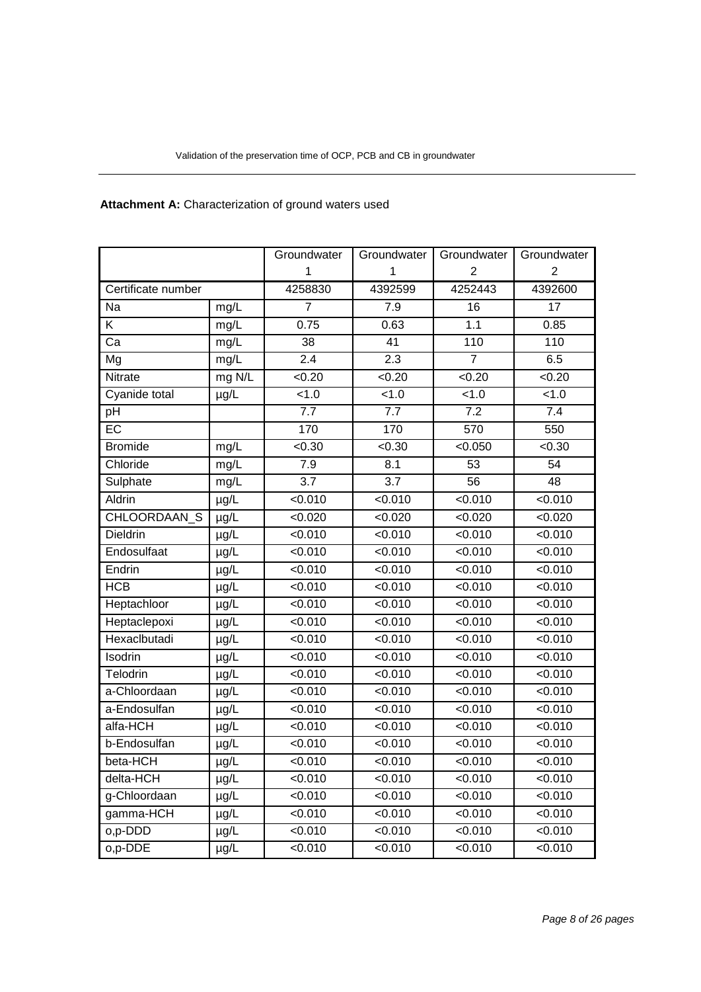# **Attachment A:** Characterization of ground waters used

|                     |                      | Groundwater      | Groundwater  | Groundwater    | Groundwater      |  |
|---------------------|----------------------|------------------|--------------|----------------|------------------|--|
|                     |                      | 1                | $\mathbf{1}$ | $\overline{2}$ | $\overline{2}$   |  |
| Certificate number  |                      | 4258830          | 4392599      | 4252443        | 4392600          |  |
| Na                  | mg/L                 | 7                | 7.9          | 16             | 17               |  |
| Κ                   | mg/L                 | 0.75             | 0.63         | 1.1            | 0.85             |  |
| $\overline{Ca}$     | mg/L                 | $\overline{38}$  | 41           | 110            | $\overline{110}$ |  |
| Mg                  | mg/L                 | $\overline{2.4}$ | 2.3          | $\overline{7}$ | 6.5              |  |
| Nitrate             | mg N/L               | < 0.20           | < 0.20       | < 0.20         | <0.20            |  |
| Cyanide total       | µg/L                 | < 1.0            | $\sqrt{1.0}$ | < 1.0          | < 1.0            |  |
| pH                  |                      | 7.7              | 7.7          | 7.2            | 7.4              |  |
| EC                  |                      | 170              | 170          | 570            | 550              |  |
| <b>Bromide</b>      | mg/L                 | < 0.30           | <0.30        | < 0.050        | <0.30            |  |
| Chloride            | mg/L                 | 7.9              | 8.1          | 53             | 54               |  |
| Sulphate            | mg/L                 | 3.7              | 3.7          | 56             | 48               |  |
| Aldrin              | µg/L                 | < 0.010          | < 0.010      | < 0.010        | < 0.010          |  |
| <b>CHLOORDAAN S</b> | µg/L                 | < 0.020          | < 0.020      | < 0.020        | < 0.020          |  |
| Dieldrin            | µg/L                 | <0.010           | < 0.010      | < 0.010        | < 0.010          |  |
| Endosulfaat         | µg/L                 | <0.010           | < 0.010      | < 0.010        | < 0.010          |  |
| Endrin              | $\overline{\mu g/L}$ | <0.010           | < 0.010      | < 0.010        | <0.010           |  |
| HCB                 | µg/L                 | < 0.010          | < 0.010      | < 0.010        | <0.010           |  |
| Heptachloor         | µg/L                 | <0.010           | < 0.010      | < 0.010        | <0.010           |  |
| Heptaclepoxi        | µg/L                 | < 0.010          | < 0.010      | < 0.010        | < 0.010          |  |
| Hexaclbutadi        | µg/L                 | < 0.010          | < 0.010      | < 0.010        | < 0.010          |  |
| Isodrin             | $\mu$ g/L            | < 0.010          | < 0.010      | < 0.010        | < 0.010          |  |
| Telodrin            | µg/L                 | < 0.010          | < 0.010      | < 0.010        | < 0.010          |  |
| a-Chloordaan        | µg/L                 | < 0.010          | < 0.010      | < 0.010        | < 0.010          |  |
| a-Endosulfan        | µg/L                 | <0.010           | < 0.010      | < 0.010        | <0.010           |  |
| alfa-HCH            | µg/L                 | <0.010           | < 0.010      | < 0.010        | <0.010           |  |
| b-Endosulfan        | µg/L                 | < 0.010          | < 0.010      | < 0.010        | < 0.010          |  |
| beta-HCH            | µg/L                 | < 0.010          | < 0.010      | < 0.010        | < 0.010          |  |
| delta-HCH           | $\mu$ g/L            | < 0.010          | < 0.010      | < 0.010        | <0.010           |  |
| g-Chloordaan        | $\mu$ g/L            | < 0.010          | < 0.010      | < 0.010        | < 0.010          |  |
| gamma-HCH           | $\mu$ g/L            | < 0.010          | < 0.010      | < 0.010        | < 0.010          |  |
| o,p-DDD             | µg/L                 | < 0.010          | < 0.010      | < 0.010        | < 0.010          |  |
| o,p-DDE             | µg/L                 | <0.010           | < 0.010      | < 0.010        | <0.010           |  |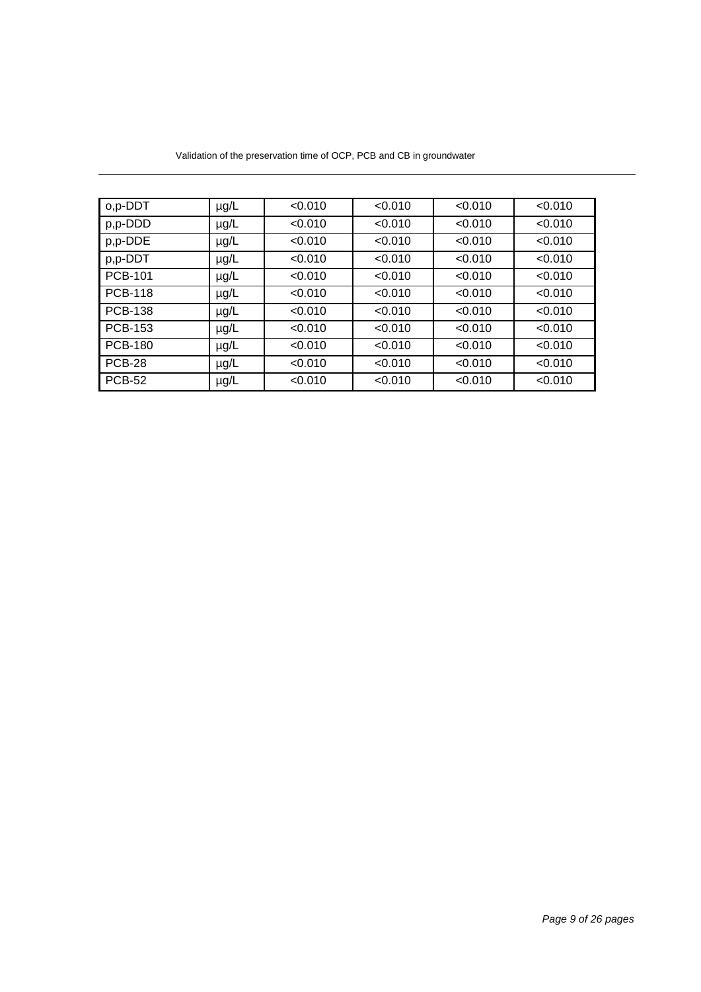| o,p-DDT        | $\mu$ g/L | < 0.010 | < 0.010 | < 0.010 | < 0.010 |
|----------------|-----------|---------|---------|---------|---------|
| p,p-DDD        | $\mu$ g/L | < 0.010 | < 0.010 | < 0.010 | < 0.010 |
| p,p-DDE        | $\mu$ g/L | < 0.010 | < 0.010 | < 0.010 | < 0.010 |
| p,p-DDT        | $\mu$ g/L | < 0.010 | < 0.010 | < 0.010 | < 0.010 |
| <b>PCB-101</b> | $\mu$ g/L | < 0.010 | < 0.010 | < 0.010 | < 0.010 |
| <b>PCB-118</b> | $\mu$ g/L | < 0.010 | < 0.010 | < 0.010 | < 0.010 |
| <b>PCB-138</b> | $\mu$ g/L | < 0.010 | < 0.010 | < 0.010 | < 0.010 |
| <b>PCB-153</b> | $\mu$ g/L | < 0.010 | < 0.010 | < 0.010 | < 0.010 |
| <b>PCB-180</b> | $\mu$ g/L | < 0.010 | < 0.010 | < 0.010 | < 0.010 |
| <b>PCB-28</b>  | $\mu$ g/L | < 0.010 | < 0.010 | < 0.010 | < 0.010 |
| PCB-52         | $\mu$ g/L | < 0.010 | < 0.010 | < 0.010 | < 0.010 |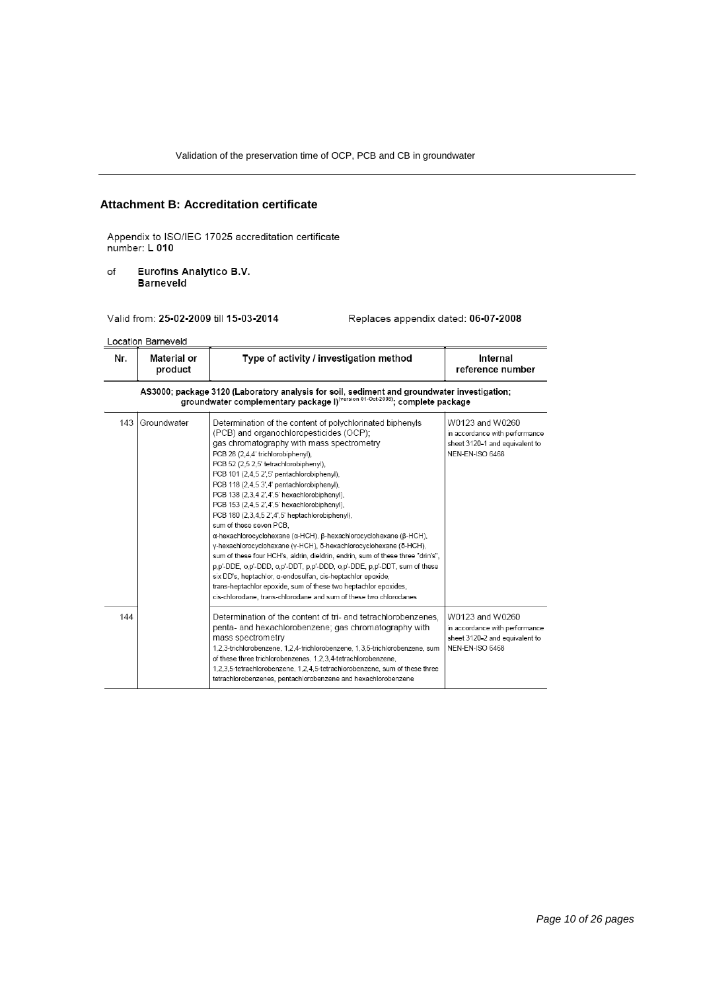#### **Attachment B: Accreditation certificate**

Appendix to ISO/IEC 17025 accreditation certificate number: L 010

of **Eurofins Analytico B.V. Barneveld** 

Valid from: 25-02-2009 till 15-03-2014

Replaces appendix dated: 06-07-2008

in accordance with performance

sheet 3120-2 and equivalent to

NEN-EN-ISO 6468

Location Barneveld

| Nr. | Material or<br>product | Type of activity / investigation method                                                                                                                                                                                                                                                                                                                                                                                                                                                                                                                                                                                                                                                                                                                                                                                                                                                                                                                                                                                     | Internal<br>reference number                                                                                  |
|-----|------------------------|-----------------------------------------------------------------------------------------------------------------------------------------------------------------------------------------------------------------------------------------------------------------------------------------------------------------------------------------------------------------------------------------------------------------------------------------------------------------------------------------------------------------------------------------------------------------------------------------------------------------------------------------------------------------------------------------------------------------------------------------------------------------------------------------------------------------------------------------------------------------------------------------------------------------------------------------------------------------------------------------------------------------------------|---------------------------------------------------------------------------------------------------------------|
|     |                        | AS3000; package 3120 (Laboratory analysis for soil, sediment and groundwater investigation;<br>groundwater complementary package I) <sup>(version 01-Oct-2008)</sup> ; complete package                                                                                                                                                                                                                                                                                                                                                                                                                                                                                                                                                                                                                                                                                                                                                                                                                                     |                                                                                                               |
| 143 | Groundwater            | Determination of the content of polychlorinated biphenyls<br>(PCB) and organochloropesticides (OCP);<br>gas chromatography with mass spectrometry<br>PCB 28 (2,4,4' trichlorobiphenyl),<br>PCB 52 (2,5 2,5' tetrachlorobiphenyl),<br>PCB 101 (2,4,5 2',5' pentachlorobiphenyl),<br>PCB 118 (2,4,5 3',4' pentachlorobiphenyl),<br>PCB 138 (2,3,4 2',4',5' hexachlorobiphenyl),<br>PCB 153 (2,4,5 2',4',5' hexachlorobiphenyl),<br>PCB 180 (2,3,4,5 2',4',5' heptachlorobiphenyl),<br>sum of these seven PCB.<br>α-hexachlorocyclohexane (α-HCH), β-hexachlorocyclohexane (β-HCH),<br>y-hexachlorocyclohexane (y-HCH), δ-hexachlorocyclohexane (δ-HCH),<br>sum of these four HCH's, aldrin, dieldrin, endrin, sum of these three "drin's",<br>p,p'-DDE, o,p'-DDD, o,p'-DDT, p,p'-DDD, o,p'-DDE, p,p'-DDT, sum of these<br>six DD's, heptachlor, a-endosulfan, cis-heptachlor epoxide,<br>trans-heptachlor epoxide, sum of these two heptachlor epoxides,<br>cis-chlorodane, trans-chlorodane and sum of these two chlorodanes | W0123 and W0260<br>in accordance with performance<br>sheet 3120-1 and equivalent to<br><b>NEN-EN-ISO 6468</b> |
| 144 |                        | Determination of the content of tri- and tetrachlorobenzenes,                                                                                                                                                                                                                                                                                                                                                                                                                                                                                                                                                                                                                                                                                                                                                                                                                                                                                                                                                               | W0123 and W0260                                                                                               |

penta- and hexachlorobenzene; gas chromatography with

of these three trichlorobenzenes, 1,2,3,4-tetrachlorobenzene, 1,2,3,5-tetrachlorobenzene, 1,2,4,5-tetrachlorobenzene, sum of these three tetrachlorobenzenes, pentachlorobenzene and hexachlorobenzene

1,2,3-trichlorobenzene, 1,2,4-trichlorobenzene, 1,3,5-trichlorobenzene, sum

mass spectrometry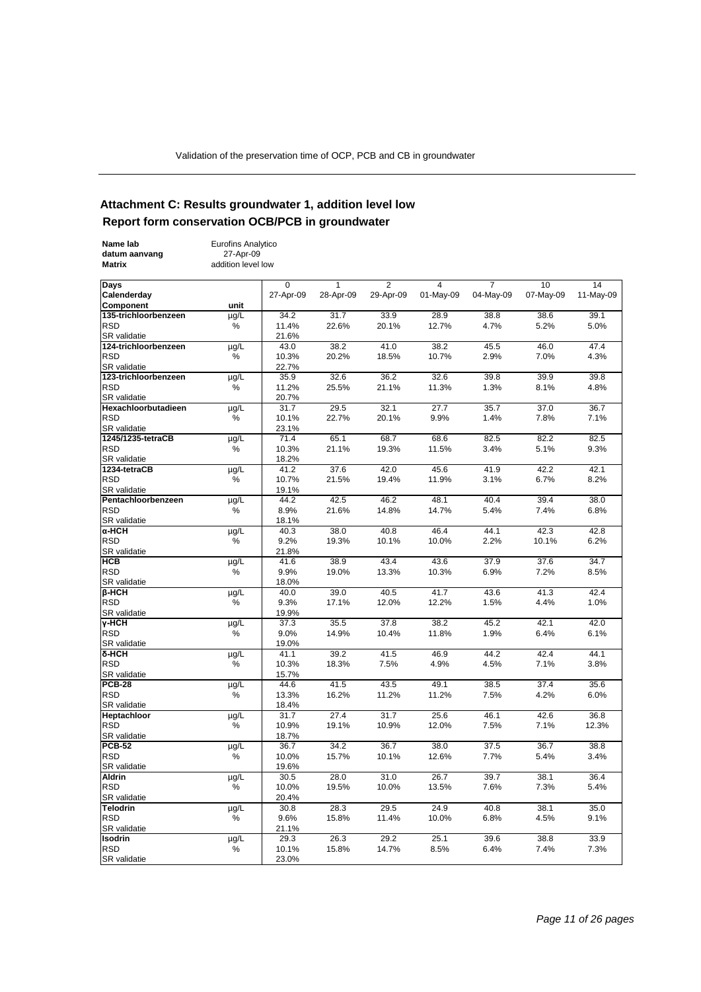## **Attachment C: Results groundwater 1, addition level low Report form conservation OCB/PCB in groundwater**

Eurofins Analytico<br>27-Apr-09 Name lab<br>datum aanvang<br>Matrix addition level low

| Days                                  |                      | 0              | $\mathbf{1}$  | $\overline{2}$ | 4         | 7            | 10           | 14        |
|---------------------------------------|----------------------|----------------|---------------|----------------|-----------|--------------|--------------|-----------|
| Calenderday                           |                      | 27-Apr-09      | 28-Apr-09     | 29-Apr-09      | 01-May-09 | 04-May-09    | 07-May-09    | 11-May-09 |
| Component                             | unit                 |                |               |                |           |              |              |           |
| 135-trichloorbenzeen                  | µg/L                 | 34.2           | 31.7          | 33.9           | 28.9      | 38.8         | 38.6         | 39.1      |
| <b>RSD</b>                            | %                    | 11.4%          | 22.6%         | 20.1%          | 12.7%     | 4.7%         | 5.2%         | 5.0%      |
| SR validatie                          |                      | 21.6%          |               |                |           |              |              |           |
| 124-trichloorbenzeen                  | $\mu g/L$            | 43.0           | 38.2          | 41.0           | 38.2      | 45.5         | 46.0         | 47.4      |
| <b>RSD</b>                            | %                    | 10.3%          | 20.2%         | 18.5%          | 10.7%     | 2.9%         | 7.0%         | 4.3%      |
| SR validatie                          |                      | 22.7%          |               |                |           |              |              |           |
| 123-trichloorbenzeen                  | µg/L                 | 35.9           | 32.6          | 36.2           | 32.6      | 39.8         | 39.9         | 39.8      |
| <b>RSD</b>                            | %                    | 11.2%          | 25.5%         | 21.1%          | 11.3%     | 1.3%         | 8.1%         | 4.8%      |
| SR validatie                          |                      | 20.7%          |               |                |           |              |              |           |
| Hexachloorbutadieen                   | $\overline{\mu g/L}$ | 31.7           | 29.5          | 32.1           | 27.7      | 35.7         | 37.0         | 36.7      |
| <b>RSD</b>                            | $\%$                 | 10.1%          | 22.7%         | 20.1%          | 9.9%      | 1.4%         | 7.8%         | 7.1%      |
| SR validatie                          |                      | 23.1%          |               |                |           |              |              |           |
| 1245/1235-tetraCB                     | µg/L                 | 71.4           | 65.1          | 68.7           | 68.6      | 82.5         | 82.2         | 82.5      |
| <b>RSD</b>                            | %                    | 10.3%          | 21.1%         | 19.3%          | 11.5%     | 3.4%         | 5.1%         | 9.3%      |
| SR validatie                          |                      | 18.2%          |               |                |           |              |              |           |
| 1234-tetraCB                          | µg/L                 | 41.2           | 37.6          | 42.0           | 45.6      | 41.9         | 42.2         | 42.1      |
| <b>RSD</b>                            | %                    | 10.7%          | 21.5%         | 19.4%          | 11.9%     | 3.1%         | 6.7%         | 8.2%      |
| SR validatie                          |                      | 19.1%          |               |                |           |              |              |           |
| Pentachloorbenzeen                    | µg/L                 | 44.2           | 42.5          | 46.2           | 48.1      | 40.4         | 39.4         | 38.0      |
| <b>RSD</b>                            | %                    | 8.9%           | 21.6%         | 14.8%          | 14.7%     | 5.4%         | 7.4%         | 6.8%      |
| SR validatie                          |                      | 18.1%          |               |                |           |              |              |           |
| α-HCH                                 | µg/L                 | 40.3           | 38.0          | 40.8           | 46.4      | 44.1         | 42.3         | 42.8      |
| <b>RSD</b>                            | $\%$                 | 9.2%           | 19.3%         | 10.1%          | 10.0%     | 2.2%         | 10.1%        | 6.2%      |
| <b>SR</b> validatie                   |                      | 21.8%          |               |                |           |              |              |           |
| <b>HCB</b>                            | µg/L                 | 41.6           | 38.9          | 43.4           | 43.6      | 37.9         | 37.6         | 34.7      |
| <b>RSD</b>                            | $\%$                 | 9.9%           | 19.0%         | 13.3%          | 10.3%     | 6.9%         | 7.2%         | 8.5%      |
| <b>SR</b> validatie                   |                      | 18.0%          |               |                |           |              |              |           |
| <b>B-HCH</b>                          | $\mu$ g/L            | 40.0           | 39.0          | 40.5           | 41.7      | 43.6         | 41.3         | 42.4      |
| <b>RSD</b>                            | %                    | 9.3%           | 17.1%         | 12.0%          | 12.2%     | 1.5%         | 4.4%         | 1.0%      |
| SR validatie                          |                      | 19.9%          |               |                |           |              |              |           |
| ү-НСН                                 | $\mu g/L$            | 37.3           | 35.5          | 37.8           | 38.2      | 45.2         | 42.1         | 42.0      |
| <b>RSD</b>                            | %                    | 9.0%           | 14.9%         | 10.4%          | 11.8%     | 1.9%         | 6.4%         | 6.1%      |
| SR validatie                          |                      | 19.0%          |               |                |           |              |              |           |
| $6 - HCH$                             | µg/L                 | 41.1           | 39.2          | 41.5           | 46.9      | 44.2         | 42.4         | 44.1      |
| <b>RSD</b>                            | %                    | 10.3%          | 18.3%         | 7.5%           | 4.9%      | 4.5%         | 7.1%         | 3.8%      |
| <b>SR</b> validatie                   |                      | 15.7%          |               |                |           |              |              |           |
| <b>PCB-28</b>                         | µg/L                 | 44.6           | 41.5          | 43.5           | 49.1      | 38.5         | 37.4         | 35.6      |
| <b>RSD</b>                            | $\%$                 | 13.3%          | 16.2%         | 11.2%          | 11.2%     | 7.5%         | 4.2%         | 6.0%      |
| SR validatie                          |                      | 18.4%          |               |                |           |              |              |           |
| Heptachloor                           | µg/L                 | 31.7           | 27.4          | 31.7           | 25.6      | 46.1         | 42.6         | 36.8      |
| <b>RSD</b>                            | $\%$                 | 10.9%          | 19.1%         | 10.9%          | 12.0%     | 7.5%         | 7.1%         | 12.3%     |
| SR validatie<br><b>PCB-52</b>         |                      | 18.7%<br>36.7  | 34.2          | 36.7           | 38.0      | 37.5         | 36.7         | 38.8      |
|                                       | $\overline{\mu g/L}$ |                |               |                |           |              |              |           |
| <b>RSD</b>                            | %                    | 10.0%          | 15.7%         | 10.1%          | 12.6%     | 7.7%         | 5.4%         | 3.4%      |
| SR validatie                          |                      | 19.6%          |               |                |           |              |              |           |
| Aldrin<br><b>RSD</b>                  | µg/L<br>$\%$         | 30.5           | 28.0<br>19.5% | 31.0           | 26.7      | 39.7<br>7.6% | 38.1<br>7.3% | 36.4      |
| SR validatie                          |                      | 10.0%<br>20.4% |               | 10.0%          | 13.5%     |              |              | 5.4%      |
|                                       |                      |                |               |                |           |              |              |           |
| <b>Telodrin</b><br><b>RSD</b>         | µg/L<br>$\%$         | 30.8<br>9.6%   | 28.3          | 29.5           | 24.9      | 40.8         | 38.1         | 35.0      |
|                                       |                      | 21.1%          | 15.8%         | 11.4%          | 10.0%     | 6.8%         | 4.5%         | 9.1%      |
| <b>SR</b> validatie<br><b>Isodrin</b> |                      | 29.3           | 26.3          | 29.2           | 25.1      | 39.6         | 38.8         | 33.9      |
| <b>RSD</b>                            | µg/L                 | 10.1%          |               |                |           |              |              |           |
|                                       | %                    | 23.0%          | 15.8%         | 14.7%          | 8.5%      | 6.4%         | 7.4%         | 7.3%      |
| SR validatie                          |                      |                |               |                |           |              |              |           |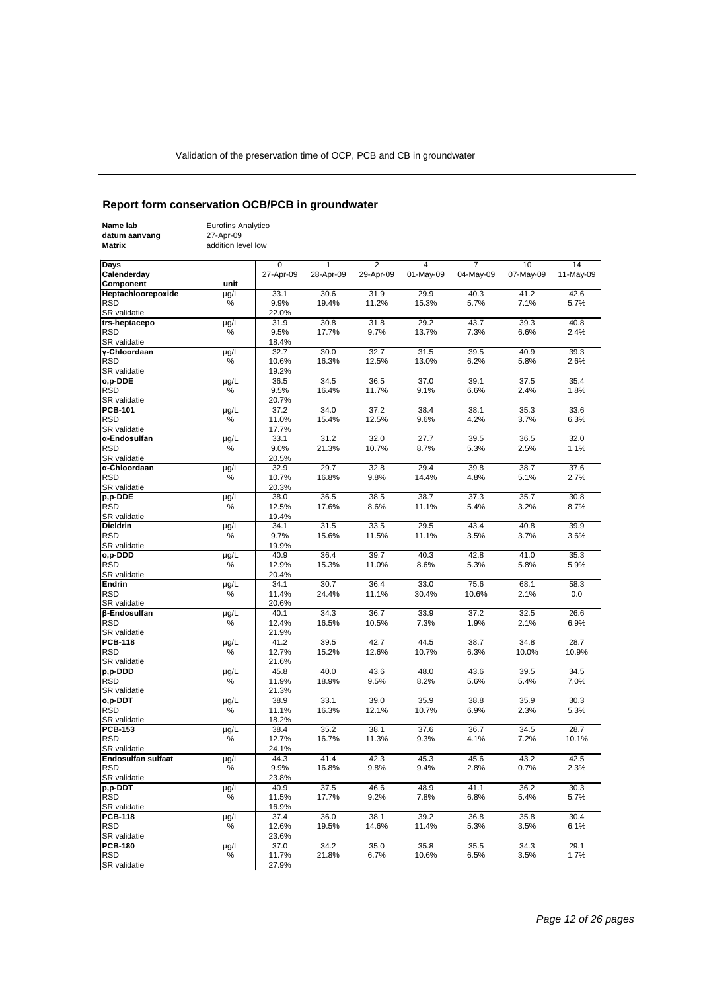### **Report form conservation OCB/PCB in groundwater**

| Name lab      | Eurofins A |
|---------------|------------|
| datum aanvang | 27-Apr-09  |

**Name lab Eurofins Analytico Matrix** addition level low

| <b>Days</b>                |                      | 0              | 1         | 2         | 4         | 7         | 10        | 14        |
|----------------------------|----------------------|----------------|-----------|-----------|-----------|-----------|-----------|-----------|
| Calenderday                |                      | 27-Apr-09      | 28-Apr-09 | 29-Apr-09 | 01-May-09 | 04-May-09 | 07-May-09 | 11-May-09 |
| Component                  | unit                 |                |           |           |           |           |           |           |
| Heptachloorepoxide         | $\mu$ g/L            | 33.1           | 30.6      | 31.9      | 29.9      | 40.3      | 41.2      | 42.6      |
| <b>RSD</b>                 | $\%$                 | 9.9%           | 19.4%     | 11.2%     | 15.3%     | 5.7%      | 7.1%      | 5.7%      |
| <b>SR</b> validatie        |                      | 22.0%          |           |           |           |           |           |           |
| trs-heptacepo              | µg/L                 | 31.9           | 30.8      | 31.8      | 29.2      | 43.7      | 39.3      | 40.8      |
| <b>RSD</b>                 | %                    | 9.5%           | 17.7%     | 9.7%      | 13.7%     | 7.3%      | 6.6%      | 2.4%      |
| <b>SR</b> validatie        |                      | 18.4%          |           |           |           |           |           |           |
| y-Chloordaan               | µg/L                 | 32.7           | 30.0      | 32.7      | 31.5      | 39.5      | 40.9      | 39.3      |
| <b>RSD</b>                 | %                    | 10.6%          | 16.3%     | 12.5%     | 13.0%     | 6.2%      | 5.8%      | 2.6%      |
| <b>SR</b> validatie        |                      | 19.2%          |           |           |           |           |           |           |
| o,p-DDE                    | µg/L                 | 36.5           | 34.5      | 36.5      | 37.0      | 39.1      | 37.5      | 35.4      |
| <b>RSD</b>                 | %                    | 9.5%           | 16.4%     | 11.7%     | 9.1%      | 6.6%      | 2.4%      | 1.8%      |
| SR validatie               |                      | 20.7%          |           |           |           |           |           |           |
| <b>PCB-101</b>             | $\overline{\mu g/L}$ | 37.2           | 34.0      | 37.2      | 38.4      | 38.1      | 35.3      | 33.6      |
| <b>RSD</b>                 | %                    | 11.0%          | 15.4%     | 12.5%     | 9.6%      | 4.2%      | 3.7%      | 6.3%      |
| SR validatie               |                      | 17.7%          |           |           |           |           |           |           |
| α-Endosulfan               | µg/L                 | 33.1           | 31.2      | 32.0      | 27.7      | 39.5      | 36.5      | 32.0      |
| <b>RSD</b>                 | $\%$                 | 9.0%           | 21.3%     | 10.7%     | 8.7%      | 5.3%      | 2.5%      | 1.1%      |
| SR validatie               |                      | 20.5%          | 29.7      |           | 29.4      | 39.8      | 38.7      |           |
| α-Chloordaan<br><b>RSD</b> | $\overline{\mu g/L}$ | 32.9           |           | 32.8      |           |           |           | 37.6      |
| SR validatie               | $\%$                 | 10.7%<br>20.3% | 16.8%     | 9.8%      | 14.4%     | 4.8%      | 5.1%      | 2.7%      |
| p,p-DDE                    | µg/L                 | 38.0           | 36.5      | 38.5      | 38.7      | 37.3      | 35.7      | 30.8      |
| <b>RSD</b>                 | %                    | 12.5%          | 17.6%     | 8.6%      | 11.1%     | 5.4%      | 3.2%      | 8.7%      |
| SR validatie               |                      | 19.4%          |           |           |           |           |           |           |
| <b>Dieldrin</b>            | µg/L                 | 34.1           | 31.5      | 33.5      | 29.5      | 43.4      | 40.8      | 39.9      |
| <b>RSD</b>                 | %                    | 9.7%           | 15.6%     | 11.5%     | 11.1%     | 3.5%      | 3.7%      | 3.6%      |
| SR validatie               |                      | 19.9%          |           |           |           |           |           |           |
| o,p-DDD                    | $\overline{\mu g/L}$ | 40.9           | 36.4      | 39.7      | 40.3      | 42.8      | 41.0      | 35.3      |
| <b>RSD</b>                 | %                    | 12.9%          | 15.3%     | 11.0%     | 8.6%      | 5.3%      | 5.8%      | 5.9%      |
| <b>SR</b> validatie        |                      | 20.4%          |           |           |           |           |           |           |
| <b>Endrin</b>              | µg/L                 | 34.1           | 30.7      | 36.4      | 33.0      | 75.6      | 68.1      | 58.3      |
| <b>RSD</b>                 | $\%$                 | 11.4%          | 24.4%     | 11.1%     | 30.4%     | 10.6%     | 2.1%      | 0.0       |
| <b>SR</b> validatie        |                      | 20.6%          |           |           |           |           |           |           |
| <b>ß-Endosulfan</b>        | µg/L                 | 40.1           | 34.3      | 36.7      | 33.9      | 37.2      | 32.5      | 26.6      |
| <b>RSD</b>                 | $\%$                 | 12.4%          | 16.5%     | 10.5%     | 7.3%      | 1.9%      | 2.1%      | 6.9%      |
| <b>SR</b> validatie        |                      | 21.9%          |           |           |           |           |           |           |
| <b>PCB-118</b>             | µg/L                 | 41.2           | 39.5      | 42.7      | 44.5      | 38.7      | 34.8      | 28.7      |
| <b>RSD</b>                 | %                    | 12.7%          | 15.2%     | 12.6%     | 10.7%     | 6.3%      | 10.0%     | 10.9%     |
| SR validatie               |                      | 21.6%          |           |           |           |           |           |           |
| p,p-DDD                    | µg/L                 | 45.8           | 40.0      | 43.6      | 48.0      | 43.6      | 39.5      | 34.5      |
| <b>RSD</b>                 | %                    | 11.9%          | 18.9%     | 9.5%      | 8.2%      | 5.6%      | 5.4%      | 7.0%      |
| <b>SR</b> validatie        |                      | 21.3%          |           |           |           |           |           |           |
| $o, p-DDT$                 | µg/L                 | 38.9           | 33.1      | 39.0      | 35.9      | 38.8      | 35.9      | 30.3      |
| <b>RSD</b>                 | %                    | 11.1%          | 16.3%     | 12.1%     | 10.7%     | 6.9%      | 2.3%      | 5.3%      |
| SR validatie               |                      | 18.2%          |           |           |           |           |           |           |
| <b>PCB-153</b>             | $\mu g/L$            | 38.4           | 35.2      | 38.1      | 37.6      | 36.7      | 34.5      | 28.7      |
| <b>RSD</b>                 | %                    | 12.7%          | 16.7%     | 11.3%     | 9.3%      | 4.1%      | 7.2%      | 10.1%     |
| SR validatie               |                      | 24.1%          |           |           |           |           |           |           |
| <b>Endosulfan sulfaat</b>  | µg/L                 | 44.3           | 41.4      | 42.3      | 45.3      | 45.6      | 43.2      | 42.5      |
| <b>RSD</b>                 | $\%$                 | 9.9%           | 16.8%     | 9.8%      | 9.4%      | 2.8%      | 0.7%      | 2.3%      |
| SR validatie               |                      | 23.8%          |           |           |           |           |           |           |
| p,p-DDT                    | µg/L                 | 40.9           | 37.5      | 46.6      | 48.9      | 41.1      | 36.2      | 30.3      |
| <b>RSD</b>                 | $\%$                 | 11.5%          | 17.7%     | 9.2%      | 7.8%      | 6.8%      | 5.4%      | 5.7%      |
| SR validatie               |                      | 16.9%          |           |           |           |           |           |           |
| <b>PCB-118</b>             | $\overline{\mu g/L}$ | 37.4           | 36.0      | 38.1      | 39.2      | 36.8      | 35.8      | 30.4      |
| <b>RSD</b>                 | $\%$                 | 12.6%          | 19.5%     | 14.6%     | 11.4%     | 5.3%      | 3.5%      | 6.1%      |
| <b>SR</b> validatie        |                      | 23.6%          |           |           |           |           |           |           |
| <b>PCB-180</b>             | µg/L                 | 37.0           | 34.2      | 35.0      | 35.8      | 35.5      | 34.3      | 29.1      |
| <b>RSD</b>                 | $\%$                 | 11.7%          | 21.8%     | 6.7%      | 10.6%     | 6.5%      | 3.5%      | 1.7%      |
| SR validatie               |                      | 27.9%          |           |           |           |           |           |           |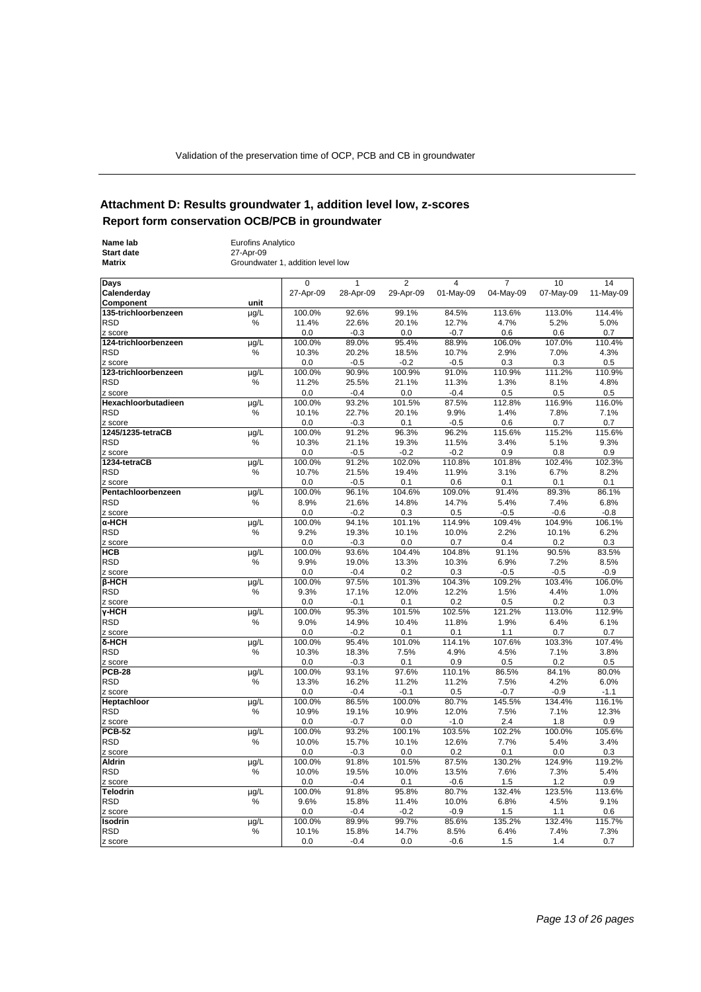## **Attachment D: Results groundwater 1, addition level low, z-scores Report form conservation OCB/PCB in groundwater**

| Name lab          | Eurofins Analytico                |
|-------------------|-----------------------------------|
| <b>Start date</b> | 27-Apr-09                         |
| Matrix            | Groundwater 1, addition level low |

| Days                                               | 0               | 1               | $\overline{2}$  | 4                | 7              | 10            | 14            |
|----------------------------------------------------|-----------------|-----------------|-----------------|------------------|----------------|---------------|---------------|
| Calenderday                                        | 27-Apr-09       | 28-Apr-09       | 29-Apr-09       | 01-May-09        | 04-May-09      | 07-May-09     | 11-May-09     |
| Component<br>unit                                  |                 |                 |                 |                  |                |               |               |
| 135-trichloorbenzeen<br>µg/L                       | 100.0%          | 92.6%           | 99.1%           | 84.5%            | 113.6%         | 113.0%        | 114.4%        |
| <b>RSD</b><br>$\%$                                 | 11.4%           | 22.6%           | 20.1%           | 12.7%            | 4.7%           | 5.2%          | 5.0%          |
| z score                                            | 0.0             | $-0.3$          | 0.0             | $-0.7$           | 0.6            | 0.6           | 0.7           |
| 124-trichloorbenzeen<br>$\mu g/L$                  | 100.0%          | 89.0%           | 95.4%           | 88.9%            | 106.0%         | 107.0%        | 110.4%        |
| %<br><b>RSD</b>                                    | 10.3%           | 20.2%           | 18.5%           | 10.7%            | 2.9%           | 7.0%          | 4.3%          |
| z score                                            | 0.0             | $-0.5$          | $-0.2$          | $-0.5$           | 0.3            | 0.3           | 0.5           |
| 123-trichloorbenzeen<br>µg/L                       | 100.0%          | 90.9%           | 100.9%          | 91.0%            | 110.9%         | 111.2%        | 110.9%        |
| %<br><b>RSD</b>                                    | 11.2%           | 25.5%           | 21.1%           | 11.3%            | 1.3%           | 8.1%          | 4.8%          |
| z score                                            | 0.0             | $-0.4$          | 0.0             | $-0.4$           | 0.5            | 0.5           | 0.5           |
| Hexachloorbutadieen<br>$\overline{\mu g/L}$        | 100.0%          | 93.2%           | 101.5%          | 87.5%            | 112.8%         | 116.9%        | 116.0%        |
| <b>RSD</b><br>%                                    | 10.1%           | 22.7%           | 20.1%           | 9.9%             | 1.4%           | 7.8%          | 7.1%          |
| z score                                            | 0.0             | $-0.3$          | 0.1             | $-0.5$           | 0.6            | 0.7           | 0.7           |
| 1245/1235-tetraCB<br>$\overline{\mu g/L}$          | 100.0%          | 91.2%           | 96.3%           | 96.2%            | 115.6%         | 115.2%        | 115.6%        |
| <b>RSD</b><br>%                                    | 10.3%           | 21.1%           | 19.3%           | 11.5%            | 3.4%           | 5.1%          | 9.3%          |
| z score                                            | 0.0             | $-0.5$          | $-0.2$          | $-0.2$           | 0.9            | 0.8           | 0.9           |
| 1234-tetraCB<br>$\overline{\mu g/L}$               | 100.0%          | 91.2%           | 102.0%          | 110.8%           | 101.8%         | 102.4%        | 102.3%        |
| <b>RSD</b><br>%                                    | 10.7%           | 21.5%           | 19.4%           | 11.9%            | 3.1%           | 6.7%          | 8.2%          |
| z score                                            | 0.0             | $-0.5$          | 0.1             | 0.6              | 0.1            | 0.1           | 0.1           |
| Pentachloorbenzeen<br>µg/L                         | 100.0%          | 96.1%           | 104.6%          | 109.0%           | 91.4%          | 89.3%         | 86.1%         |
| <b>RSD</b><br>$\%$                                 | 8.9%            | 21.6%           | 14.8%           | 14.7%            | 5.4%           | 7.4%          | 6.8%          |
| z score                                            | 0.0             | $-0.2$          | 0.3             | 0.5              | $-0.5$         | $-0.6$        | $-0.8$        |
| α-HCH<br>µg/L                                      | 100.0%          | 94.1%           | 101.1%          | 114.9%           | 109.4%         | 104.9%        | 106.1%        |
| <b>RSD</b><br>$\%$                                 | 9.2%            | 19.3%           | 10.1%           | 10.0%            | 2.2%           | 10.1%         | 6.2%          |
| z score                                            | 0.0             | $-0.3$          | 0.0             | 0.7              | 0.4            | 0.2           | 0.3           |
| HCB<br>$\overline{\mu g/L}$                        | 100.0%          | 93.6%           | 104.4%          | 104.8%           | 91.1%          | 90.5%         | 83.5%         |
| <b>RSD</b><br>%                                    | 9.9%            | 19.0%           | 13.3%           | 10.3%            | 6.9%           | 7.2%          | 8.5%          |
| z score                                            | 0.0             | $-0.4$          | 0.2             | 0.3              | $-0.5$         | $-0.5$        | $-0.9$        |
| <b>B-HCH</b><br>µg/L                               | 100.0%          | 97.5%           | 101.3%          | 104.3%           | 109.2%         | 103.4%        | 106.0%        |
| <b>RSD</b><br>%                                    | 9.3%            | 17.1%           | 12.0%           | 12.2%            | 1.5%           | 4.4%          | 1.0%          |
| z score                                            | 0.0             | $-0.1$          | 0.1             | 0.2              | 0.5            | 0.2           | 0.3           |
| <b>v-HCH</b><br>µg/L                               | 100.0%          | 95.3%           | 101.5%          | 102.5%           | 121.2%         | 113.0%        | 112.9%        |
| <b>RSD</b><br>%                                    | 9.0%            | 14.9%           | 10.4%           | 11.8%            | 1.9%           | 6.4%          | 6.1%          |
| z score                                            | 0.0             | $-0.2$          | 0.1             | 0.1              | 1.1            | 0.7           | 0.7           |
| <b>δ-НСН</b><br>µg/L                               | 100.0%          | 95.4%           | 101.0%          | 114.1%           | 107.6%         | 103.3%        | 107.4%        |
| <b>RSD</b><br>%                                    | 10.3%           | 18.3%           | 7.5%            | 4.9%             | 4.5%           | 7.1%          | 3.8%          |
| z score                                            | 0.0             | $-0.3$          | 0.1             | 0.9              | 0.5            | 0.2           | 0.5           |
| <b>PCB-28</b><br>µg/L                              | 100.0%          | 93.1%           | 97.6%           | 110.1%           | 86.5%          | 84.1%         | 80.0%         |
| <b>RSD</b><br>$\frac{0}{0}$                        | 13.3%           | 16.2%           | 11.2%           | 11.2%            | 7.5%           | 4.2%          | 6.0%          |
| z score                                            | 0.0             | $-0.4$          | $-0.1$          | 0.5              | $-0.7$         | $-0.9$        | $-1.1$        |
| Heptachloor<br>µg/L<br><b>RSD</b><br>$\frac{0}{0}$ | 100.0%<br>10.9% | 86.5%           | 100.0%<br>10.9% | 80.7%<br>12.0%   | 145.5%<br>7.5% | 134.4%        | 116.1%        |
|                                                    | 0.0             | 19.1%           |                 |                  |                | 7.1%          | 12.3%         |
| z score<br><b>PCB-52</b><br>$\overline{\mu g/L}$   | 100.0%          | $-0.7$<br>93.2% | 0.0<br>100.1%   | $-1.0$<br>103.5% | 2.4<br>102.2%  | 1.8<br>100.0% | 0.9<br>105.6% |
| <b>RSD</b><br>$\%$                                 | 10.0%           | 15.7%           | 10.1%           | 12.6%            | 7.7%           | 5.4%          | 3.4%          |
| z score                                            | 0.0             | $-0.3$          | 0.0             | 0.2              | 0.1            | 0.0           | 0.3           |
| <b>Aldrin</b><br>µg/L                              | 100.0%          | 91.8%           | 101.5%          | 87.5%            | 130.2%         | 124.9%        | 119.2%        |
| <b>RSD</b><br>%                                    | 10.0%           | 19.5%           | 10.0%           | 13.5%            | 7.6%           | 7.3%          | 5.4%          |
| z score                                            | 0.0             | $-0.4$          | 0.1             | $-0.6$           | 1.5            | 1.2           | 0.9           |
| <b>Telodrin</b><br>µg/L                            | 100.0%          | 91.8%           | 95.8%           | 80.7%            | 132.4%         | 123.5%        | 113.6%        |
| <b>RSD</b><br>%                                    | 9.6%            | 15.8%           | 11.4%           | 10.0%            | 6.8%           | 4.5%          | 9.1%          |
| z score                                            | 0.0             | $-0.4$          | $-0.2$          | $-0.9$           | 1.5            | 1.1           | 0.6           |
| Isodrin<br>µg/L                                    | 100.0%          | 89.9%           | 99.7%           | 85.6%            | 135.2%         | 132.4%        | 115.7%        |
| <b>RSD</b><br>$\%$                                 | 10.1%           | 15.8%           | 14.7%           | 8.5%             | 6.4%           | 7.4%          | 7.3%          |
| z score                                            | 0.0             | $-0.4$          | 0.0             | $-0.6$           | 1.5            | 1.4           | 0.7           |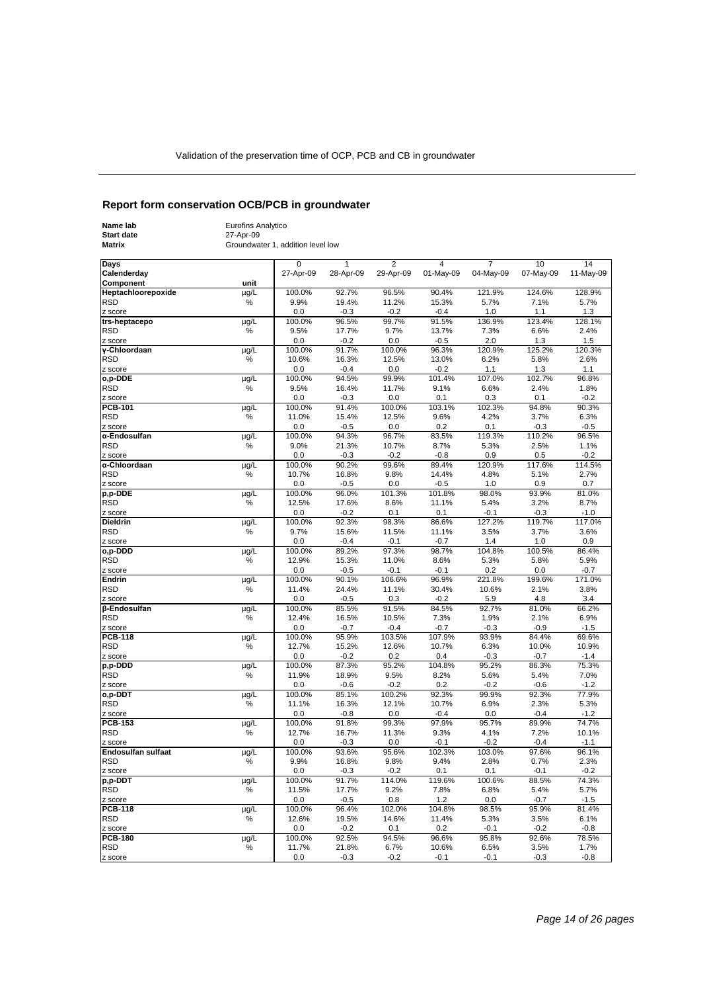## **Report form conservation OCB/PCB in groundwater**

| Name lab          | <b>Eurofins Analytico</b>         |
|-------------------|-----------------------------------|
| <b>Start date</b> | 27-Apr-09                         |
| Matrix            | Groundwater 1, addition level low |
|                   |                                   |

| Days                           |                      | 0         | 1         | $\overline{2}$ | 4         | 7         | 10        | 14        |
|--------------------------------|----------------------|-----------|-----------|----------------|-----------|-----------|-----------|-----------|
| Calenderday                    |                      | 27-Apr-09 | 28-Apr-09 | 29-Apr-09      | 01-May-09 | 04-May-09 | 07-May-09 | 11-May-09 |
| Component                      | unit                 |           |           |                |           |           |           |           |
| Heptachloorepoxide             | µg/L                 | 100.0%    | 92.7%     | 96.5%          | 90.4%     | 121.9%    | 124.6%    | 128.9%    |
| <b>RSD</b>                     | %                    | 9.9%      | 19.4%     | 11.2%          | 15.3%     | 5.7%      | 7.1%      | 5.7%      |
| z score                        |                      | 0.0       | $-0.3$    | $-0.2$         | $-0.4$    | 1.0       | 1.1       | 1.3       |
| trs-heptacepo                  | µg/L                 | 100.0%    | 96.5%     | 99.7%          | 91.5%     | 136.9%    | 123.4%    | 128.1%    |
| <b>RSD</b>                     | %                    | 9.5%      | 17.7%     | 9.7%           | 13.7%     | 7.3%      | 6.6%      | 2.4%      |
| z score                        |                      | 0.0       | $-0.2$    | 0.0            | $-0.5$    | 2.0       | 1.3       | 1.5       |
| y-Chloordaan                   | $\mu$ g/L            | 100.0%    | 91.7%     | 100.0%         | 96.3%     | 120.9%    | 125.2%    | 120.3%    |
| <b>RSD</b>                     | %                    | 10.6%     | 16.3%     | 12.5%          | 13.0%     | 6.2%      | 5.8%      | 2.6%      |
| z score                        |                      | 0.0       | $-0.4$    | 0.0            | $-0.2$    | 1.1       | 1.3       | 1.1       |
| o.p-DDE                        | µg/L                 | 100.0%    | 94.5%     | 99.9%          | 101.4%    | 107.0%    | 102.7%    | 96.8%     |
| <b>RSD</b>                     | %                    | 9.5%      | 16.4%     | 11.7%          | 9.1%      | 6.6%      | 2.4%      | 1.8%      |
| z score                        |                      | 0.0       | $-0.3$    | 0.0            | 0.1       | 0.3       | 0.1       | $-0.2$    |
| <b>PCB-101</b>                 | µg/L                 | 100.0%    | 91.4%     | 100.0%         | 103.1%    | 102.3%    | 94.8%     | 90.3%     |
| <b>RSD</b>                     | %                    | 11.0%     | 15.4%     | 12.5%          | 9.6%      | 4.2%      | 3.7%      | 6.3%      |
| z score                        |                      | 0.0       | $-0.5$    | 0.0            | 0.2       | 0.1       | $-0.3$    | $-0.5$    |
| α-Endosulfan                   | µg/L                 | 100.0%    | 94.3%     | 96.7%          | 83.5%     | 119.3%    | 110.2%    | 96.5%     |
| <b>RSD</b>                     | $\%$                 | 9.0%      | 21.3%     | 10.7%          | 8.7%      | 5.3%      | 2.5%      | 1.1%      |
| z score                        |                      | 0.0       | $-0.3$    | $-0.2$         | $-0.8$    | 0.9       | 0.5       | $-0.2$    |
| α-Chloordaan                   | $\mu$ g/L            | 100.0%    | 90.2%     | 99.6%          | 89.4%     | 120.9%    | 117.6%    | 114.5%    |
| <b>RSD</b>                     | %                    | 10.7%     | 16.8%     | 9.8%           | 14.4%     | 4.8%      | 5.1%      | 2.7%      |
| z score                        |                      | 0.0       | $-0.5$    | 0.0            | $-0.5$    | 1.0       | 0.9       | 0.7       |
| p,p-DDE                        | µg/L                 | 100.0%    | 96.0%     | 101.3%         | 101.8%    | 98.0%     | 93.9%     | 81.0%     |
| <b>RSD</b>                     | $\%$                 | 12.5%     | 17.6%     | 8.6%           | 11.1%     | 5.4%      | 3.2%      | 8.7%      |
| z score                        |                      | 0.0       | $-0.2$    | 0.1            | 0.1       | $-0.1$    | $-0.3$    | $-1.0$    |
| <b>Dieldrin</b>                | µg/L                 | 100.0%    | 92.3%     | 98.3%          | 86.6%     | 127.2%    | 119.7%    | 117.0%    |
| <b>RSD</b>                     | $\%$                 | 9.7%      | 15.6%     | 11.5%          | 11.1%     | 3.5%      | 3.7%      | 3.6%      |
| z score                        |                      | 0.0       | $-0.4$    | $-0.1$         | $-0.7$    | 1.4       | 1.0       | 0.9       |
| o,p-DDD                        | µg/L                 | 100.0%    | 89.2%     | 97.3%          | 98.7%     | 104.8%    | 100.5%    | 86.4%     |
| <b>RSD</b>                     | %                    | 12.9%     | 15.3%     | 11.0%          | 8.6%      | 5.3%      | 5.8%      | 5.9%      |
| z score                        |                      | 0.0       | $-0.5$    | $-0.1$         | $-0.1$    | 0.2       | 0.0       | $-0.7$    |
| <b>Endrin</b>                  | µg/L                 | 100.0%    | 90.1%     | 106.6%         | 96.9%     | 221.8%    | 199.6%    | 171.0%    |
| <b>RSD</b>                     | %                    | 11.4%     | 24.4%     | 11.1%          | 30.4%     | 10.6%     | 2.1%      | 3.8%      |
|                                |                      | 0.0       | $-0.5$    | 0.3            | $-0.2$    | 5.9       | 4.8       | 3.4       |
| z score<br><b>ß-Endosulfan</b> | µg/L                 | 100.0%    | 85.5%     | 91.5%          | 84.5%     | 92.7%     | 81.0%     | 66.2%     |
| <b>RSD</b>                     | %                    | 12.4%     | 16.5%     | 10.5%          | 7.3%      | 1.9%      | 2.1%      | 6.9%      |
| z score                        |                      | 0.0       | $-0.7$    | $-0.4$         | $-0.7$    | $-0.3$    | $-0.9$    | $-1.5$    |
| <b>PCB-118</b>                 | µg/L                 | 100.0%    | 95.9%     | 103.5%         | 107.9%    | 93.9%     | 84.4%     | 69.6%     |
| <b>RSD</b>                     | %                    | 12.7%     | 15.2%     | 12.6%          | 10.7%     | 6.3%      | 10.0%     | 10.9%     |
| z score                        |                      | 0.0       | $-0.2$    | 0.2            | 0.4       | $-0.3$    | $-0.7$    | $-1.4$    |
| p,p-DDD                        | µg/L                 | 100.0%    | 87.3%     | 95.2%          | 104.8%    | 95.2%     | 86.3%     | 75.3%     |
| <b>RSD</b>                     | $\%$                 | 11.9%     | 18.9%     | 9.5%           | 8.2%      | 5.6%      | 5.4%      | 7.0%      |
| z score                        |                      | 0.0       | $-0.6$    | $-0.2$         | 0.2       | $-0.2$    | $-0.6$    | $-1.2$    |
| $o,p$ -DDT                     | µg/L                 | 100.0%    | 85.1%     | 100.2%         | 92.3%     | 99.9%     | 92.3%     | 77.9%     |
| <b>RSD</b>                     | %                    | 11.1%     | 16.3%     | 12.1%          | 10.7%     | 6.9%      | 2.3%      | 5.3%      |
| z score                        |                      | 0.0       | $-0.8$    | 0.0            | $-0.4$    | 0.0       | $-0.4$    | $-1.2$    |
| <b>PCB-153</b>                 | µg/L                 | 100.0%    | 91.8%     | 99.3%          | 97.9%     | 95.7%     | 89.9%     | 74.7%     |
| <b>RSD</b>                     | %                    | 12.7%     | 16.7%     | 11.3%          | 9.3%      | 4.1%      | 7.2%      | 10.1%     |
| z score                        |                      | 0.0       | $-0.3$    | 0.0            | $-0.1$    | $-0.2$    | $-0.4$    | $-1.1$    |
| <b>Endosulfan sulfaat</b>      | $\overline{\mu g/L}$ | 100.0%    | 93.6%     | 95.6%          | 102.3%    | 103.0%    | 97.6%     | 96.1%     |
| <b>RSD</b>                     | %                    | 9.9%      | 16.8%     | 9.8%           | 9.4%      | 2.8%      | 0.7%      | 2.3%      |
| z score                        |                      | 0.0       | $-0.3$    | $-0.2$         | 0.1       | 0.1       | $-0.1$    | $-0.2$    |
| $p, p$ -DDT                    | µg/L                 | 100.0%    | 91.7%     | 114.0%         | 119.6%    | 100.6%    | 88.5%     | 74.3%     |
| <b>RSD</b>                     | %                    | 11.5%     | 17.7%     | 9.2%           | 7.8%      | 6.8%      | 5.4%      | 5.7%      |
| z score                        |                      | 0.0       | $-0.5$    | 0.8            | 1.2       | 0.0       | $-0.7$    | $-1.5$    |
| <b>PCB-118</b>                 | µg/L                 | 100.0%    | 96.4%     | 102.0%         | 104.8%    | 98.5%     | 95.9%     | 81.4%     |
| <b>RSD</b>                     | %                    | 12.6%     | 19.5%     | 14.6%          | 11.4%     | 5.3%      | 3.5%      | 6.1%      |
|                                |                      | 0.0       | $-0.2$    | 0.1            | 0.2       | $-0.1$    | $-0.2$    | $-0.8$    |
| z score<br><b>PCB-180</b>      |                      | 100.0%    | 92.5%     | 94.5%          | 96.6%     | 95.8%     | 92.6%     | 78.5%     |
|                                | µg/L                 |           |           |                |           |           |           |           |
| <b>RSD</b>                     | $\%$                 | 11.7%     | 21.8%     | 6.7%           | 10.6%     | 6.5%      | 3.5%      | 1.7%      |
| z score                        |                      | 0.0       | $-0.3$    | $-0.2$         | $-0.1$    | $-0.1$    | $-0.3$    | $-0.8$    |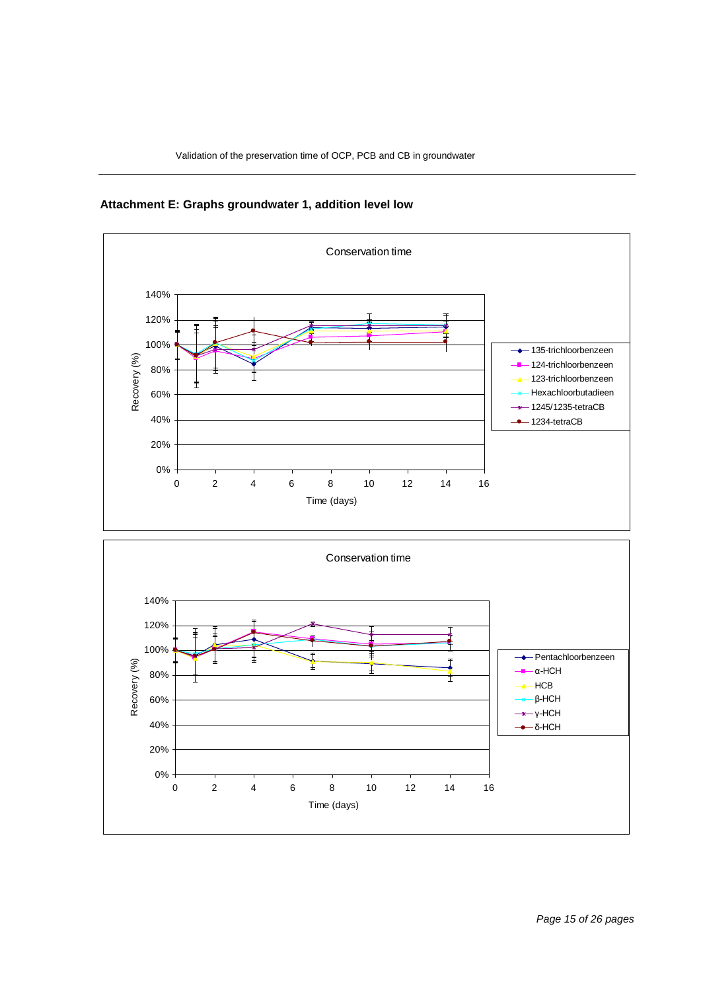

**Attachment E: Graphs groundwater 1, addition level low**

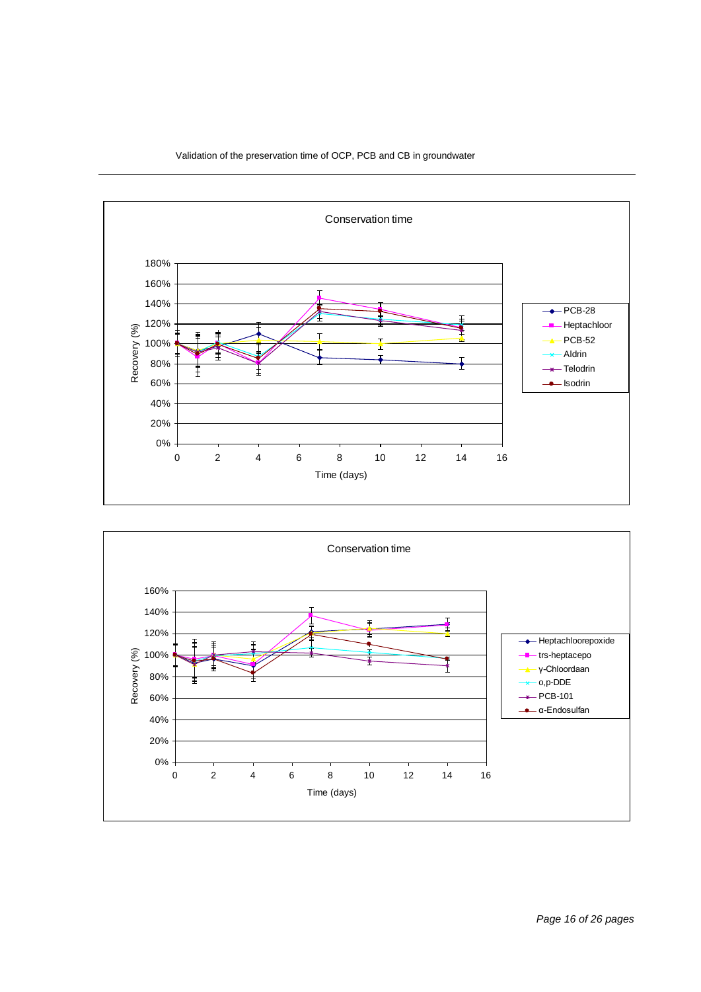



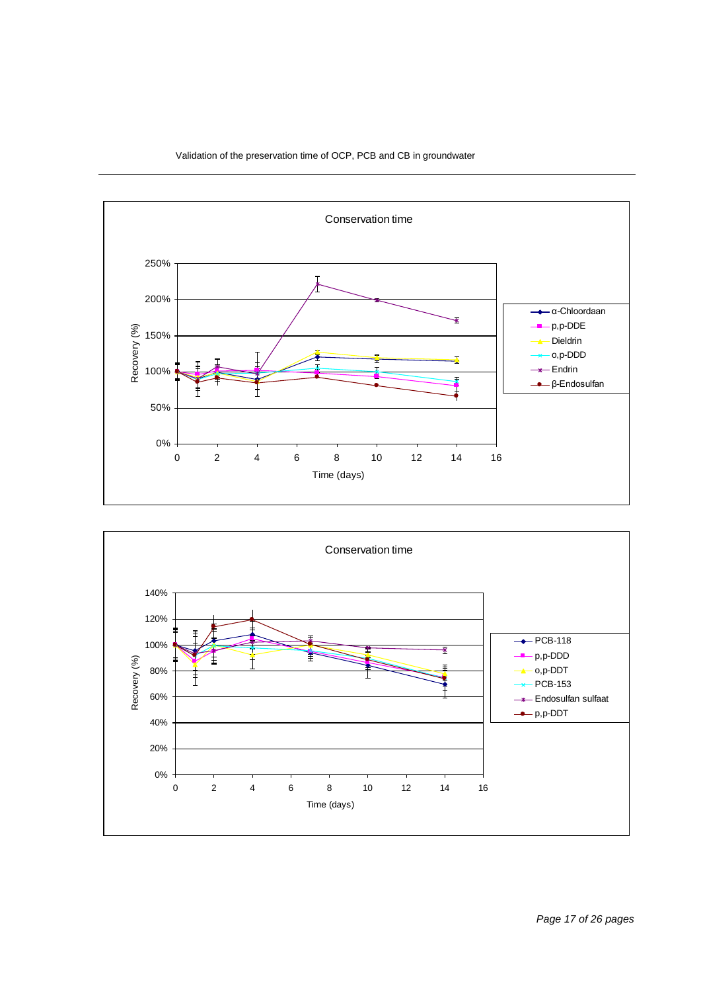



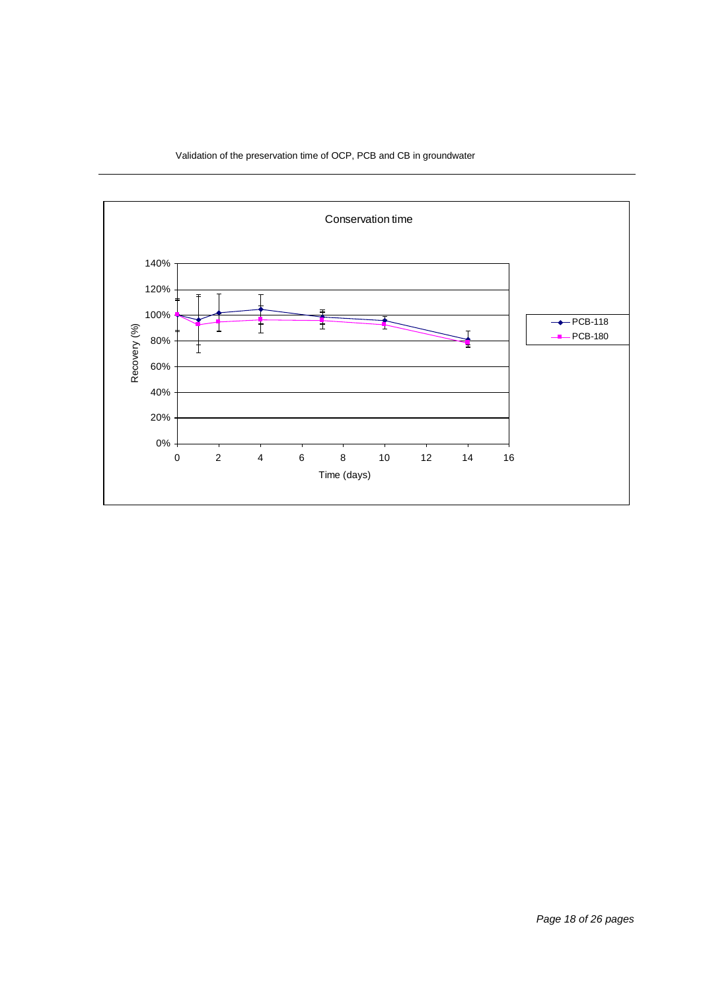

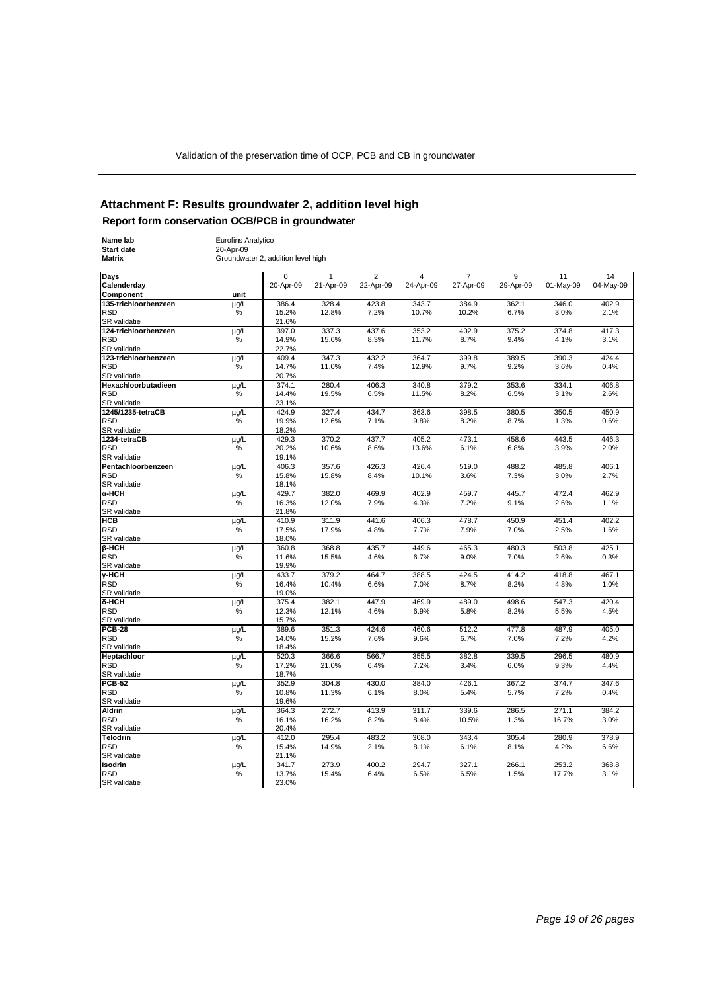### **Attachment F: Results groundwater 2, addition level high Report form conservation OCB/PCB in groundwater**

| Name lab                             | <b>Eurofins Analytico</b> |                                    |                |                |               |                |               |                |               |  |
|--------------------------------------|---------------------------|------------------------------------|----------------|----------------|---------------|----------------|---------------|----------------|---------------|--|
| <b>Start date</b>                    | 20-Apr-09                 |                                    |                |                |               |                |               |                |               |  |
| <b>Matrix</b>                        |                           | Groundwater 2, addition level high |                |                |               |                |               |                |               |  |
| Days                                 |                           | $\Omega$                           | $\mathbf{1}$   | $\overline{2}$ | 4             | $\overline{7}$ | 9             | 11             | 14            |  |
| Calenderday                          |                           | 20-Apr-09                          | 21-Apr-09      | 22-Apr-09      | 24-Apr-09     | 27-Apr-09      | 29-Apr-09     | 01-May-09      | 04-May-09     |  |
| Component                            | unit                      |                                    |                |                |               |                |               |                |               |  |
| 135-trichloorbenzeen                 | µg/L                      | 386.4                              | 328.4          | 423.8          | 343.7         | 384.9          | 362.1         | 346.0          | 402.9         |  |
| <b>RSD</b>                           | %                         | 15.2%                              | 12.8%          | 7.2%           | 10.7%         | 10.2%          | 6.7%          | 3.0%           | 2.1%          |  |
| <b>SR</b> validatie                  |                           | 21.6%                              |                |                |               |                |               |                |               |  |
| 124-trichloorbenzeen                 | µg/L                      | 397.0                              | 337.3          | 437.6          | 353.2         | 402.9          | 375.2         | 374.8          | 417.3         |  |
| <b>RSD</b>                           | %                         | 14.9%                              | 15.6%          | 8.3%           | 11.7%         | 8.7%           | 9.4%          | 4.1%           | 3.1%          |  |
| SR validatie<br>123-trichloorbenzeen |                           | 22.7%<br>409.4                     | 347.3          | 432.2          | 364.7         | 399.8          | 389.5         | 390.3          | 424.4         |  |
| <b>RSD</b>                           | µg/L<br>%                 | 14.7%                              | 11.0%          | 7.4%           | 12.9%         | 9.7%           | 9.2%          | 3.6%           | 0.4%          |  |
| <b>SR</b> validatie                  |                           | 20.7%                              |                |                |               |                |               |                |               |  |
| Hexachloorbutadieen                  | µg/L                      | 374.1                              | 280.4          | 406.3          | 340.8         | 379.2          | 353.6         | 334.1          | 406.8         |  |
| <b>RSD</b>                           | %                         | 14.4%                              | 19.5%          | 6.5%           | 11.5%         | 8.2%           | 6.5%          | 3.1%           | 2.6%          |  |
| <b>SR</b> validatie                  |                           | 23.1%                              |                |                |               |                |               |                |               |  |
| 1245/1235-tetraCB                    | µg/L                      | 424.9                              | 327.4          | 434.7          | 363.6         | 398.5          | 380.5         | 350.5          | 450.9         |  |
| <b>RSD</b>                           | %                         | 19.9%                              | 12.6%          | 7.1%           | 9.8%          | 8.2%           | 8.7%          | 1.3%           | 0.6%          |  |
| SR validatie                         |                           | 18.2%                              |                |                |               |                |               |                |               |  |
| 1234-tetraCB                         | µg/L                      | 429.3                              | 370.2          | 437.7          | 405.2         | 473.1          | 458.6         | 443.5          | 446.3         |  |
| <b>RSD</b>                           | %                         | 20.2%                              | 10.6%          | 8.6%           | 13.6%         | 6.1%           | 6.8%          | 3.9%           | 2.0%          |  |
| <b>SR</b> validatie                  |                           | 19.1%                              |                |                |               |                |               |                |               |  |
| Pentachloorbenzeen                   | µg/L                      | 406.3                              | 357.6          | 426.3          | 426.4         | 519.0          | 488.2         | 485.8          | 406.1         |  |
| <b>RSD</b>                           | %                         | 15.8%                              | 15.8%          | 8.4%           | 10.1%         | 3.6%           | 7.3%          | 3.0%           | 2.7%          |  |
| SR validatie                         |                           | 18.1%                              |                |                |               |                |               |                |               |  |
| α-HCH<br><b>RSD</b>                  | µg/L<br>%                 | 429.7<br>16.3%                     | 382.0<br>12.0% | 469.9<br>7.9%  | 402.9<br>4.3% | 459.7          | 445.7<br>9.1% | 472.4<br>2.6%  | 462.9<br>1.1% |  |
| SR validatie                         |                           | 21.8%                              |                |                |               | 7.2%           |               |                |               |  |
| <b>HCB</b>                           | $\mu$ g/L                 | 410.9                              | 311.9          | 441.6          | 406.3         | 478.7          | 450.9         | 451.4          | 402.2         |  |
| <b>RSD</b>                           | %                         | 17.5%                              | 17.9%          | 4.8%           | 7.7%          | 7.9%           | 7.0%          | 2.5%           | 1.6%          |  |
| <b>SR</b> validatie                  |                           | 18.0%                              |                |                |               |                |               |                |               |  |
| $B$ -HCH                             | µg/L                      | 360.8                              | 368.8          | 435.7          | 449.6         | 465.3          | 480.3         | 503.8          | 425.1         |  |
| <b>RSD</b>                           | %                         | 11.6%                              | 15.5%          | 4.6%           | 6.7%          | 9.0%           | 7.0%          | 2.6%           | 0.3%          |  |
| SR validatie                         |                           | 19.9%                              |                |                |               |                |               |                |               |  |
| <b>v-HCH</b>                         | µg/L                      | 433.7                              | 379.2          | 464.7          | 388.5         | 424.5          | 414.2         | 418.8          | 467.1         |  |
| <b>RSD</b>                           | %                         | 16.4%                              | 10.4%          | 6.6%           | 7.0%          | 8.7%           | 8.2%          | 4.8%           | 1.0%          |  |
| <b>SR</b> validatie                  |                           | 19.0%                              |                |                |               |                |               |                |               |  |
| $6 - HCH$                            | µg/L                      | 375.4                              | 382.1          | 447.9          | 469.9         | 489.0          | 498.6         | 547.3          | 420.4         |  |
| <b>RSD</b>                           | %                         | 12.3%<br>15.7%                     | 12.1%          | 4.6%           | 6.9%          | 5.8%           | 8.2%          | 5.5%           | 4.5%          |  |
| SR validatie<br><b>PCB-28</b>        | µg/L                      | 389.6                              | 351.3          | 424.6          | 460.6         | 512.2          | 477.8         | 487.9          | 405.0         |  |
| <b>RSD</b>                           | %                         | 14.0%                              | 15.2%          | 7.6%           | 9.6%          | 6.7%           | 7.0%          | 7.2%           | 4.2%          |  |
| SR validatie                         |                           | 18.4%                              |                |                |               |                |               |                |               |  |
| Heptachloor                          | µg/L                      | 520.3                              | 366.6          | 566.7          | 355.5         | 382.8          | 339.5         | 296.5          | 480.9         |  |
| <b>RSD</b>                           | %                         | 17.2%                              | 21.0%          | 6.4%           | 7.2%          | 3.4%           | 6.0%          | 9.3%           | 4.4%          |  |
| <b>SR</b> validatie                  |                           | 18.7%                              |                |                |               |                |               |                |               |  |
| <b>PCB-52</b>                        | µg/L                      | 352.9                              | 304.8          | 430.0          | 384.0         | 426.1          | 367.2         | 374.7          | 347.6         |  |
| <b>RSD</b>                           | $\%$                      | 10.8%                              | 11.3%          | 6.1%           | 8.0%          | 5.4%           | 5.7%          | 7.2%           | 0.4%          |  |
| SR validatie                         |                           | 19.6%                              |                |                |               |                |               |                |               |  |
| <b>Aldrin</b>                        | µg/L                      | 364.3                              | 272.7          | 413.9          | 311.7         | 339.6          | 286.5         | 271.1          | 384.2         |  |
| <b>RSD</b>                           | %                         | 16.1%                              | 16.2%          | 8.2%           | 8.4%          | 10.5%          | 1.3%          | 16.7%          | 3.0%          |  |
| SR validatie                         |                           | 20.4%                              |                |                |               |                |               |                |               |  |
| <b>Telodrin</b>                      | µg/L                      | 412.0                              | 295.4          | 483.2          | 308.0         | 343.4          | 305.4         | 280.9          | 378.9         |  |
| <b>RSD</b>                           | $\frac{0}{0}$             | 15.4%                              | 14.9%          | 2.1%           | 8.1%          | 6.1%           | 8.1%          | 4.2%           | 6.6%          |  |
| <b>SR</b> validatie                  |                           | 21.1%                              |                |                |               |                |               |                |               |  |
| <b>Isodrin</b><br><b>RSD</b>         | µg/L<br>%                 | 341.7<br>13.7%                     | 273.9<br>15.4% | 400.2<br>6.4%  | 294.7<br>6.5% | 327.1<br>6.5%  | 266.1<br>1.5% | 253.2<br>17.7% | 368.8<br>3.1% |  |
| SR validatie                         |                           | 23.0%                              |                |                |               |                |               |                |               |  |
|                                      |                           |                                    |                |                |               |                |               |                |               |  |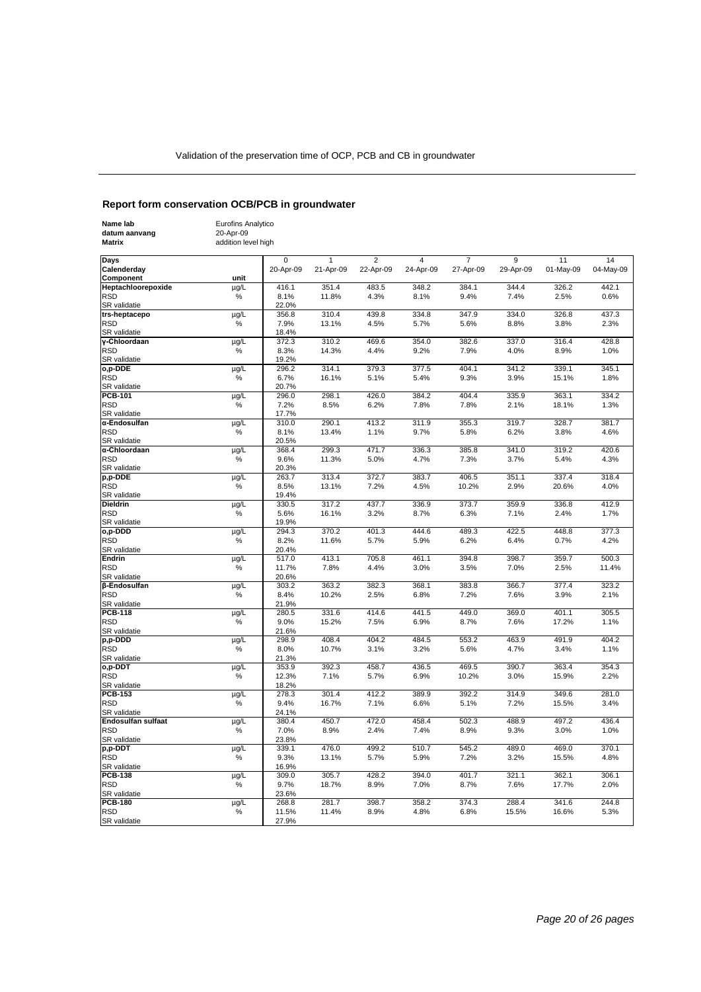# **Report form conservation OCB/PCB in groundwater**

| Name lab<br>datum aanvang<br><b>Matrix</b> | Eurofins Analytico<br>20-Apr-09<br>addition level high |                          |                |                             |                |                             |                |                 |                 |
|--------------------------------------------|--------------------------------------------------------|--------------------------|----------------|-----------------------------|----------------|-----------------------------|----------------|-----------------|-----------------|
| Days<br>Calenderday                        |                                                        | $\mathbf 0$<br>20-Apr-09 | 1<br>21-Apr-09 | $\overline{2}$<br>22-Apr-09 | 4<br>24-Apr-09 | $\overline{7}$<br>27-Apr-09 | 9<br>29-Apr-09 | 11<br>01-May-09 | 14<br>04-May-09 |
| Component                                  | unit                                                   |                          |                |                             |                |                             |                |                 |                 |
| Heptachloorepoxide                         | µg/L                                                   | 416.1                    | 351.4          | 483.5                       | 348.2          | 384.1                       | 344.4          | 326.2           | 442.1           |
| <b>RSD</b>                                 | $\%$                                                   | 8.1%                     | 11.8%          | 4.3%                        | 8.1%           | 9.4%                        | 7.4%           | 2.5%            | 0.6%            |
| SR validatie                               |                                                        | 22.0%                    |                |                             |                |                             |                |                 |                 |
| trs-heptacepo<br><b>RSD</b>                | µg/L<br>$\%$                                           | 356.8<br>7.9%            | 310.4<br>13.1% | 439.8<br>4.5%               | 334.8<br>5.7%  | 347.9<br>5.6%               | 334.0<br>8.8%  | 326.8<br>3.8%   | 437.3<br>2.3%   |
| <b>SR</b> validatie                        |                                                        | 18.4%                    |                |                             |                |                             |                |                 |                 |
| y-Chloordaan                               | $\overline{\mu g/L}$                                   | 372.3                    | 310.2          | 469.6                       | 354.0          | 382.6                       | 337.0          | 316.4           | 428.8           |
| <b>RSD</b>                                 | %                                                      | 8.3%                     | 14.3%          | 4.4%                        | 9.2%           | 7.9%                        | 4.0%           | 8.9%            | 1.0%            |
| <b>SR</b> validatie                        |                                                        | 19.2%                    |                |                             |                |                             |                |                 |                 |
| o,p-DDE                                    | $\mu$ g/L                                              | 296.2                    | 314.1          | 379.3                       | 377.5          | 404.1                       | 341.2          | 339.1           | 345.1           |
| <b>RSD</b>                                 | %                                                      | 6.7%                     | 16.1%          | 5.1%                        | 5.4%           | 9.3%                        | 3.9%           | 15.1%           | 1.8%            |
| <b>SR</b> validatie                        |                                                        | 20.7%                    |                |                             |                |                             |                |                 |                 |
| <b>PCB-101</b><br><b>RSD</b>               | $\mu$ g/L<br>$\%$                                      | 296.0<br>7.2%            | 298.1<br>8.5%  | 426.0<br>6.2%               | 384.2<br>7.8%  | 404.4<br>7.8%               | 335.9<br>2.1%  | 363.1<br>18.1%  | 334.2           |
| <b>SR</b> validatie                        |                                                        | 17.7%                    |                |                             |                |                             |                |                 | 1.3%            |
| α-Endosulfan                               | µg/L                                                   | 310.0                    | 290.1          | 413.2                       | 311.9          | 355.3                       | 319.7          | 328.7           | 381.7           |
| <b>RSD</b>                                 | %                                                      | 8.1%                     | 13.4%          | 1.1%                        | 9.7%           | 5.8%                        | 6.2%           | 3.8%            | 4.6%            |
| SR validatie                               |                                                        | 20.5%                    |                |                             |                |                             |                |                 |                 |
| α-Chloordaan                               | µg/L                                                   | 368.4                    | 299.3          | 471.7                       | 336.3          | 385.8                       | 341.0          | 319.2           | 420.6           |
| <b>RSD</b>                                 | %                                                      | 9.6%                     | 11.3%          | 5.0%                        | 4.7%           | 7.3%                        | 3.7%           | 5.4%            | 4.3%            |
| <b>SR</b> validatie                        |                                                        | 20.3%                    |                |                             |                |                             |                |                 |                 |
| p,p-DDE                                    | µg/L                                                   | 263.7                    | 313.4          | 372.7                       | 383.7          | 406.5                       | 351.1          | 337.4           | 318.4           |
| <b>RSD</b><br><b>SR</b> validatie          | $\%$                                                   | 8.5%<br>19.4%            | 13.1%          | 7.2%                        | 4.5%           | 10.2%                       | 2.9%           | 20.6%           | 4.0%            |
| <b>Dieldrin</b>                            | µg/L                                                   | 330.5                    | 317.2          | 437.7                       | 336.9          | 373.7                       | 359.9          | 336.8           | 412.9           |
| <b>RSD</b>                                 | %                                                      | 5.6%                     | 16.1%          | 3.2%                        | 8.7%           | 6.3%                        | 7.1%           | 2.4%            | 1.7%            |
| SR validatie                               |                                                        | 19.9%                    |                |                             |                |                             |                |                 |                 |
| o,p-DDD                                    | µg/L                                                   | 294.3                    | 370.2          | 401.3                       | 444.6          | 489.3                       | 422.5          | 448.8           | 377.3           |
| <b>RSD</b>                                 | %                                                      | 8.2%                     | 11.6%          | 5.7%                        | 5.9%           | 6.2%                        | 6.4%           | 0.7%            | 4.2%            |
| SR validatie                               |                                                        | 20.4%                    |                |                             |                |                             |                |                 |                 |
| Endrin                                     | µg/L                                                   | 517.0                    | 413.1          | 705.8                       | 461.1          | 394.8                       | 398.7          | 359.7           | 500.3           |
| <b>RSD</b><br><b>SR</b> validatie          | $\%$                                                   | 11.7%                    | 7.8%           | 4.4%                        | 3.0%           | 3.5%                        | 7.0%           | 2.5%            | 11.4%           |
| <b>ß-Endosulfan</b>                        | µg/L                                                   | 20.6%<br>303.2           | 363.2          | 382.3                       | 368.1          | 383.8                       | 366.7          | 377.4           | 323.2           |
| <b>RSD</b>                                 | %                                                      | 8.4%                     | 10.2%          | 2.5%                        | 6.8%           | 7.2%                        | 7.6%           | 3.9%            | 2.1%            |
| SR validatie                               |                                                        | 21.9%                    |                |                             |                |                             |                |                 |                 |
| <b>PCB-118</b>                             | µg/L                                                   | 280.5                    | 331.6          | 414.6                       | 441.5          | 449.0                       | 369.0          | 401.1           | 305.5           |
| <b>RSD</b>                                 | %                                                      | 9.0%                     | 15.2%          | 7.5%                        | 6.9%           | 8.7%                        | 7.6%           | 17.2%           | 1.1%            |
| SR validatie                               |                                                        | 21.6%                    |                |                             |                |                             |                |                 |                 |
| p,p-DDD                                    | µg/L                                                   | 298.9                    | 408.4          | 404.2                       | 484.5          | 553.2                       | 463.9          | 491.9           | 404.2           |
| <b>RSD</b>                                 | $\%$                                                   | 8.0%                     | 10.7%          | 3.1%                        | 3.2%           | 5.6%                        | 4.7%           | 3.4%            | 1.1%            |
| <b>SR</b> validatie<br>o,p-DDT             | $\overline{\mu g/L}$                                   | 21.3%<br>353.9           | 392.3          | 458.7                       | 436.5          | 469.5                       | 390.7          | 363.4           | 354.3           |
| <b>RSD</b>                                 | %                                                      | 12.3%                    | 7.1%           | 5.7%                        | 6.9%           | 10.2%                       | 3.0%           | 15.9%           | 2.2%            |
| SR validatie                               |                                                        | 18.2%                    |                |                             |                |                             |                |                 |                 |
| <b>PCB-153</b>                             | µg/L                                                   | 278.3                    | 301.4          | 412.2                       | 389.9          | 392.2                       | 314.9          | 349.6           | 281.0           |
| <b>RSD</b>                                 | %                                                      | 9.4%                     | 16.7%          | 7.1%                        | 6.6%           | 5.1%                        | 7.2%           | 15.5%           | 3.4%            |
| <b>SR</b> validatie                        |                                                        | 24.1%                    |                |                             |                |                             |                |                 |                 |
| <b>Endosulfan sulfaat</b>                  | µg/L                                                   | 380.4                    | 450.7          | 472.0                       | 458.4          | 502.3                       | 488.9          | 497.2           | 436.4           |
| <b>RSD</b>                                 | $\%$                                                   | 7.0%                     | 8.9%           | 2.4%                        | 7.4%           | 8.9%                        | 9.3%           | 3.0%            | 1.0%            |
| <b>SR</b> validatie                        |                                                        | 23.8%                    |                |                             |                |                             |                |                 |                 |
| p,p-DDT<br>RSD                             | µg/L<br>%                                              | 339.1<br>9.3%            | 476.0<br>13.1% | 499.2<br>5.7%               | 510.7<br>5.9%  | 545.2<br>7.2%               | 489.0<br>3.2%  | 469.0<br>15.5%  | 370.1<br>4.8%   |
| SR validatie                               |                                                        | 16.9%                    |                |                             |                |                             |                |                 |                 |
| <b>PCB-138</b>                             | µg/L                                                   | 309.0                    | 305.7          | 428.2                       | 394.0          | 401.7                       | 321.1          | 362.1           | 306.1           |
| <b>RSD</b>                                 | $\%$                                                   | 9.7%                     | 18.7%          | 8.9%                        | 7.0%           | 8.7%                        | 7.6%           | 17.7%           | 2.0%            |
| SR validatie                               |                                                        | 23.6%                    |                |                             |                |                             |                |                 |                 |
| <b>PCB-180</b>                             | µg/L                                                   | 268.8                    | 281.7          | 398.7                       | 358.2          | 374.3                       | 288.4          | 341.6           | 244.8           |
| <b>RSD</b>                                 | %                                                      | 11.5%                    | 11.4%          | 8.9%                        | 4.8%           | 6.8%                        | 15.5%          | 16.6%           | 5.3%            |
| SR validatie                               |                                                        | 27.9%                    |                |                             |                |                             |                |                 |                 |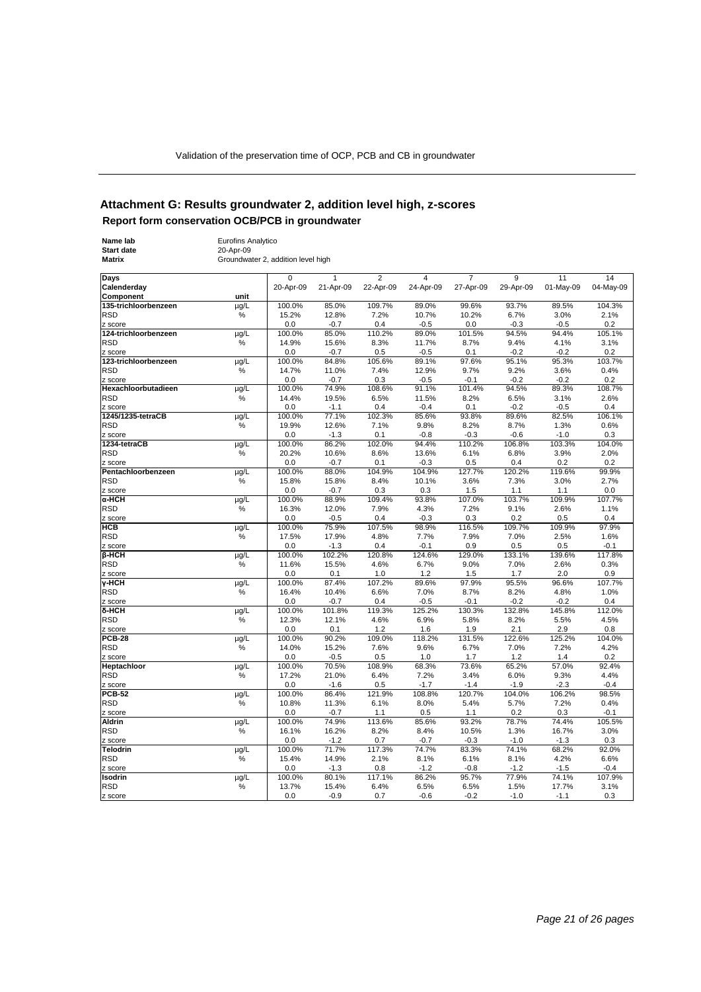### **Attachment G: Results groundwater 2, addition level high, z-scores Report form conservation OCB/PCB in groundwater**

| Name lab             | Eurofins Analytico   |                                    |                 |                |           |                |           |           |           |
|----------------------|----------------------|------------------------------------|-----------------|----------------|-----------|----------------|-----------|-----------|-----------|
| <b>Start date</b>    | 20-Apr-09            |                                    |                 |                |           |                |           |           |           |
| <b>Matrix</b>        |                      | Groundwater 2, addition level high |                 |                |           |                |           |           |           |
|                      |                      |                                    |                 |                |           |                |           |           |           |
| Days                 |                      | $\Omega$                           | 1               | $\overline{2}$ | 4         | $\overline{7}$ | 9         | 11        | 14        |
| Calenderday          |                      | 20-Apr-09                          | 21-Apr-09       | 22-Apr-09      | 24-Apr-09 | 27-Apr-09      | 29-Apr-09 | 01-May-09 | 04-May-09 |
| Component            | unit                 |                                    |                 |                |           |                |           |           |           |
| 135-trichloorbenzeen | µg/L                 | 100.0%                             | 85.0%           | 109.7%         | 89.0%     | 99.6%          | 93.7%     | 89.5%     | 104.3%    |
| <b>RSD</b>           | %                    | 15.2%                              | 12.8%           | 7.2%           | 10.7%     | 10.2%          | 6.7%      | 3.0%      | 2.1%      |
| z score              |                      | 0.0                                | $-0.7$          | 0.4            | $-0.5$    | 0.0            | $-0.3$    | $-0.5$    | 0.2       |
| 124-trichloorbenzeen |                      | 100.0%                             | 85.0%           | 110.2%         | 89.0%     | 101.5%         | 94.5%     | 94.4%     | 105.1%    |
| <b>RSD</b>           | µg/L                 |                                    |                 |                |           |                |           |           |           |
|                      | $\%$                 | 14.9%                              | 15.6%           | 8.3%           | 11.7%     | 8.7%           | 9.4%      | 4.1%      | 3.1%      |
| z score              |                      | 0.0                                | $-0.7$          | 0.5            | $-0.5$    | 0.1            | $-0.2$    | $-0.2$    | 0.2       |
| 123-trichloorbenzeen | µg/L                 | 100.0%                             | 84.8%           | 105.6%         | 89.1%     | 97.6%          | 95.1%     | 95.3%     | 103.7%    |
| <b>RSD</b>           | $\%$                 | 14.7%                              | 11.0%           | 7.4%           | 12.9%     | 9.7%           | 9.2%      | 3.6%      | 0.4%      |
| z score              |                      | 0.0                                | $-0.7$          | 0.3            | $-0.5$    | $-0.1$         | $-0.2$    | $-0.2$    | 0.2       |
| Hexachloorbutadieen  | µg/L                 | 100.0%                             | 74.9%           | 108.6%         | 91.1%     | 101.4%         | 94.5%     | 89.3%     | 108.7%    |
| <b>RSD</b>           | %                    | 14.4%                              | 19.5%           | 6.5%           | 11.5%     | 8.2%           | 6.5%      | 3.1%      | 2.6%      |
| z score              |                      | 0.0                                | $-1.1$          | 0.4            | $-0.4$    | 0.1            | $-0.2$    | $-0.5$    | 0.4       |
| 1245/1235-tetraCB    | µg/L                 | 100.0%                             | 77.1%           | 102.3%         | 85.6%     | 93.8%          | 89.6%     | 82.5%     | 106.1%    |
| <b>RSD</b>           | %                    | 19.9%                              | 12.6%           | 7.1%           | 9.8%      | 8.2%           | 8.7%      | 1.3%      | 0.6%      |
| z score              |                      | 0.0                                | $-1.3$          | 0.1            | $-0.8$    | $-0.3$         | $-0.6$    | $-1.0$    | 0.3       |
| 1234-tetraCB         | µg/L                 | 100.0%                             | 86.2%           | 102.0%         | 94.4%     | 110.2%         | 106.8%    | 103.3%    | 104.0%    |
| <b>RSD</b>           | %                    | 20.2%                              | 10.6%           | 8.6%           | 13.6%     | 6.1%           | 6.8%      | 3.9%      | 2.0%      |
| z score              |                      | 0.0                                | $-0.7$          | 0.1            | $-0.3$    | 0.5            | 0.4       | 0.2       | 0.2       |
| Pentachloorbenzeen   | µg/L                 | 100.0%                             | 88.0%           | 104.9%         | 104.9%    | 127.7%         | 120.2%    | 119.6%    | 99.9%     |
| <b>RSD</b>           | %                    | 15.8%                              | 15.8%           | 8.4%           | 10.1%     | 3.6%           | 7.3%      | 3.0%      | 2.7%      |
| z score              |                      | 0.0                                | $-0.7$          | 0.3            | 0.3       | 1.5            | 1.1       | 1.1       | 0.0       |
| α-HCH                | µg/L                 | 100.0%                             | 88.9%           | 109.4%         | 93.8%     | 107.0%         | 103.7%    | 109.9%    | 107.7%    |
| <b>RSD</b>           | %                    | 16.3%                              | 12.0%           | 7.9%           | 4.3%      | 7.2%           | 9.1%      | 2.6%      | 1.1%      |
| z score              |                      | 0.0                                | $-0.5$          | 0.4            | $-0.3$    | 0.3            | 0.2       | 0.5       | 0.4       |
| <b>HCB</b>           |                      | 100.0%                             | 75.9%           | 107.5%         | 98.9%     |                | 109.7%    | 109.9%    | 97.9%     |
|                      | µg/L                 |                                    |                 |                |           | 116.5%         |           |           |           |
| <b>RSD</b>           | $\%$                 | 17.5%                              | 17.9%           | 4.8%           | 7.7%      | 7.9%           | 7.0%      | 2.5%      | 1.6%      |
| z score              |                      | 0.0                                | $-1.3$          | 0.4            | $-0.1$    | 0.9            | 0.5       | 0.5       | $-0.1$    |
| $B-HCH$              | µg/L                 | 100.0%                             | 102.2%          | 120.8%         | 124.6%    | 129.0%         | 133.1%    | 139.6%    | 117.8%    |
| <b>RSD</b>           | %                    | 11.6%                              | 15.5%           | 4.6%           | 6.7%      | 9.0%           | 7.0%      | 2.6%      | 0.3%      |
| z score              |                      | 0.0                                | 0.1             | 1.0            | 1.2       | 1.5            | 1.7       | 2.0       | 0.9       |
| <b>V-HCH</b>         | µg/L                 | 100.0%                             | 87.4%           | 107.2%         | 89.6%     | 97.9%          | 95.5%     | 96.6%     | 107.7%    |
| <b>RSD</b>           | $\%$                 | 16.4%                              | 10.4%           | 6.6%           | 7.0%      | 8.7%           | 8.2%      | 4.8%      | 1.0%      |
| z score              |                      | 0.0                                | $-0.7$          | 0.4            | $-0.5$    | $-0.1$         | $-0.2$    | $-0.2$    | 0.4       |
| δ-HCH                | $\overline{\mu g/L}$ | 100.0%                             | 101.8%          | 119.3%         | 125.2%    | 130.3%         | 132.8%    | 145.8%    | 112.0%    |
| <b>RSD</b>           | %                    | 12.3%                              | 12.1%           | 4.6%           | 6.9%      | 5.8%           | 8.2%      | 5.5%      | 4.5%      |
| z score              |                      | 0.0                                | 0.1             | 1.2            | 1.6       | 1.9            | 2.1       | 2.9       | 0.8       |
| <b>PCB-28</b>        | $\mu$ g/L            | 100.0%                             | 90.2%           | 109.0%         | 118.2%    | 131.5%         | 122.6%    | 125.2%    | 104.0%    |
| <b>RSD</b>           | $\%$                 | 14.0%                              | 15.2%           | 7.6%           | 9.6%      | 6.7%           | 7.0%      | 7.2%      | 4.2%      |
| z score              |                      | 0.0                                | $-0.5$          | 0.5            | 1.0       | 1.7            | 1.2       | 1.4       | 0.2       |
| Heptachloor          | $\mu$ g/L            | 100.0%                             | 70.5%           | 108.9%         | 68.3%     | 73.6%          | 65.2%     | 57.0%     | 92.4%     |
| <b>RSD</b>           | %                    | 17.2%                              | 21.0%           | 6.4%           | 7.2%      | 3.4%           | 6.0%      | 9.3%      | 4.4%      |
| z score              |                      | 0.0                                | $-1.6$          | 0.5            | $-1.7$    | $-1.4$         | $-1.9$    | $-2.3$    | $-0.4$    |
| <b>PCB-52</b>        | µg/L                 | 100.0%                             | 86.4%           | 121.9%         | 108.8%    | 120.7%         | 104.0%    | 106.2%    | 98.5%     |
| <b>RSD</b>           | %                    | 10.8%                              | 11.3%           | 6.1%           | 8.0%      | 5.4%           | 5.7%      | 7.2%      | 0.4%      |
| z score              |                      | 0.0                                | $-0.7$          | 1.1            | 0.5       | 1.1            | 0.2       | 0.3       | $-0.1$    |
|                      |                      | 100.0%                             | 74.9%           |                | 85.6%     | 93.2%          | 78.7%     | 74.4%     |           |
| <b>Aldrin</b>        | µg/L                 |                                    |                 | 113.6%         |           |                |           |           | 105.5%    |
| <b>RSD</b>           | $\%$                 | 16.1%                              | 16.2%           | 8.2%           | 8.4%      | 10.5%          | 1.3%      | 16.7%     | 3.0%      |
| z score              |                      | 0.0                                | $-1.2$          | 0.7            | $-0.7$    | $-0.3$         | $-1.0$    | $-1.3$    | 0.3       |
| <b>Telodrin</b>      | $\mu$ g/L            | 100.0%                             | 71.7%           | 117.3%         | 74.7%     | 83.3%          | 74.1%     | 68.2%     | 92.0%     |
| <b>RSD</b>           | %                    | 15.4%                              | 14.9%           | 2.1%           | 8.1%      | 6.1%           | 8.1%      | 4.2%      | 6.6%      |
| z score              |                      | 0.0                                | $-1.3$          | 0.8            | $-1.2$    | $-0.8$         | $-1.2$    | $-1.5$    | $-0.4$    |
| Isodrin              | µg/L                 | 100.0%                             | 80.1%           | 117.1%         | 86.2%     | 95.7%          | 77.9%     | 74.1%     | 107.9%    |
| <b>RSD</b>           |                      |                                    |                 | 6.4%           | 6.5%      | 6.5%           | 1.5%      | 17.7%     | 3.1%      |
|                      | %                    | 13.7%<br>0.0                       | 15.4%<br>$-0.9$ |                |           | $-0.2$         |           |           |           |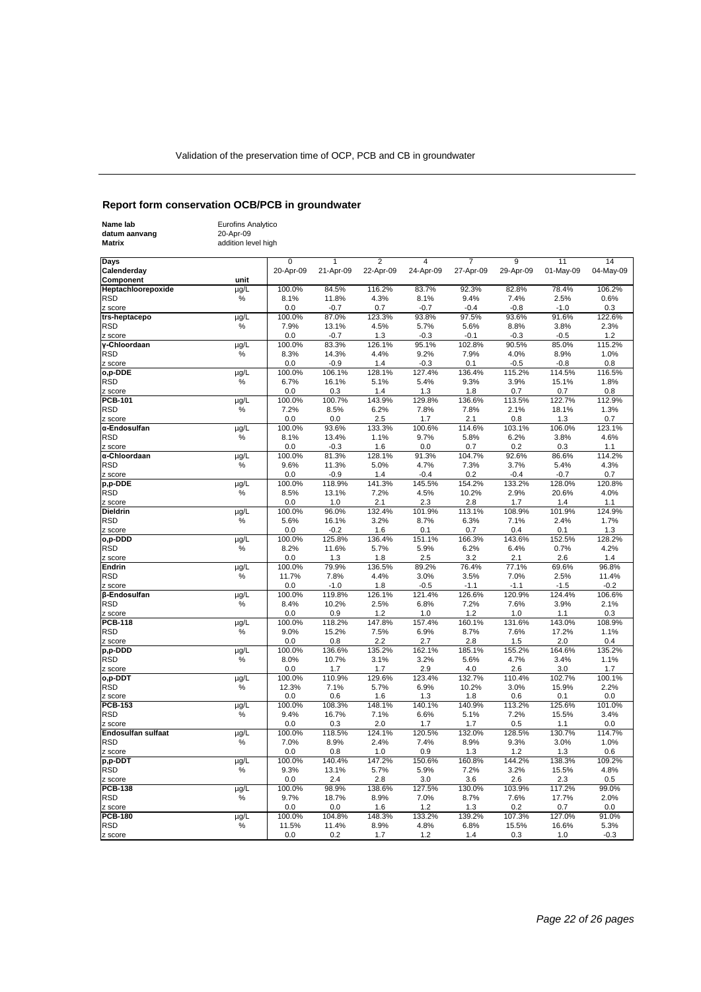## **Report form conservation OCB/PCB in groundwater**

| Name lab<br>datum aanvang<br>Matrix | <b>Eurofins Analytico</b><br>20-Apr-09<br>addition level high |                          |                           |                             |                             |                 |                  |                  |                 |
|-------------------------------------|---------------------------------------------------------------|--------------------------|---------------------------|-----------------------------|-----------------------------|-----------------|------------------|------------------|-----------------|
| Days<br>Calenderday                 |                                                               | $\mathbf 0$<br>20-Apr-09 | $\mathbf{1}$<br>21-Apr-09 | $\overline{2}$<br>22-Apr-09 | $\overline{4}$<br>24-Apr-09 | 7<br>27-Apr-09  | 9<br>29-Apr-09   | 11<br>01-May-09  | 14<br>04-May-09 |
| Component                           | unit                                                          |                          |                           |                             |                             |                 |                  |                  |                 |
| Heptachloorepoxide                  | µg/L                                                          | 100.0%                   | 84.5%                     | 116.2%                      | 83.7%                       | 92.3%           | 82.8%            | 78.4%            | 106.2%          |
| RSD                                 | %                                                             | 8.1%                     | 11.8%                     | 4.3%                        | 8.1%                        | 9.4%            | 7.4%             | 2.5%             | 0.6%            |
| z score                             |                                                               | 0.0                      | $-0.7$                    | 0.7                         | $-0.7$                      | $-0.4$          | $-0.8$           | $-1.0$           | 0.3             |
| trs-heptacepo                       | µg/L                                                          | 100.0%                   | 87.0%                     | 123.3%                      | 93.8%                       | 97.5%           | 93.6%            | 91.6%            | 122.6%          |
| RSD                                 | $\%$                                                          | 7.9%                     | 13.1%                     | 4.5%                        | 5.7%                        | 5.6%            | 8.8%             | 3.8%             | 2.3%            |
| z score                             |                                                               | 0.0                      | $-0.7$                    | 1.3                         | $-0.3$                      | $-0.1$          | $-0.3$           | $-0.5$           | 1.2             |
| y-Chloordaan<br>RSD                 | µg/L<br>%                                                     | 100.0%<br>8.3%           | 83.3%<br>14.3%            | 126.1%<br>4.4%              | 95.1%<br>9.2%               | 102.8%<br>7.9%  | 90.5%<br>4.0%    | 85.0%<br>8.9%    | 115.2%<br>1.0%  |
| z score                             |                                                               | 0.0                      | $-0.9$                    | 1.4                         | $-0.3$                      | 0.1             | $-0.5$           | $-0.8$           | 0.8             |
| o,p-DDE                             | µg/L                                                          | 100.0%                   | 106.1%                    | 128.1%                      | 127.4%                      | 136.4%          | 115.2%           | 114.5%           | 116.5%          |
| RSD                                 | %                                                             | 6.7%                     | 16.1%                     | 5.1%                        | 5.4%                        | 9.3%            | 3.9%             | 15.1%            | 1.8%            |
| z score                             |                                                               | 0.0                      | 0.3                       | 1.4                         | 1.3                         | 1.8             | 0.7              | 0.7              | 0.8             |
| <b>PCB-101</b>                      | µg/L                                                          | 100.0%                   | 100.7%                    | 143.9%                      | 129.8%                      | 136.6%          | 113.5%           | 122.7%           | 112.9%          |
| RSD                                 | %                                                             | 7.2%                     | 8.5%                      | 6.2%                        | 7.8%                        | 7.8%            | 2.1%             | 18.1%            | 1.3%            |
| z score                             |                                                               | 0.0                      | 0.0                       | 2.5                         | 1.7                         | 2.1             | 0.8              | 1.3              | 0.7             |
| α-Endosulfan                        | $\mu g/L$                                                     | 100.0%                   | 93.6%                     | 133.3%                      | 100.6%                      | 114.6%          | 103.1%           | 106.0%           | 123.1%          |
| RSD                                 | %                                                             | 8.1%                     | 13.4%                     | 1.1%                        | 9.7%                        | 5.8%            | 6.2%             | 3.8%             | 4.6%            |
| z score                             |                                                               | 0.0                      | $-0.3$                    | 1.6                         | 0.0                         | 0.7             | 0.2              | 0.3              | 1.1             |
| α-Chloordaan                        | µg/L                                                          | 100.0%                   | 81.3%                     | 128.1%                      | 91.3%                       | 104.7%          | 92.6%            | 86.6%            | 114.2%          |
| RSD                                 | $\%$                                                          | 9.6%                     | 11.3%                     | 5.0%                        | 4.7%                        | 7.3%            | 3.7%             | 5.4%             | 4.3%            |
| z score<br>p,p-DDE                  | µg/L                                                          | 0.0<br>100.0%            | $-0.9$<br>118.9%          | 1.4<br>141.3%               | $-0.4$<br>145.5%            | 0.2<br>154.2%   | $-0.4$<br>133.2% | $-0.7$<br>128.0% | 0.7<br>120.8%   |
| RSD                                 | $\%$                                                          | 8.5%                     | 13.1%                     | 7.2%                        | 4.5%                        | 10.2%           | 2.9%             | 20.6%            | 4.0%            |
| z score                             |                                                               | 0.0                      | 1.0                       | 2.1                         | 2.3                         | 2.8             | 1.7              | 1.4              | 1.1             |
| <b>Dieldrin</b>                     | µg/L                                                          | 100.0%                   | 96.0%                     | 132.4%                      | 101.9%                      | 113.1%          | 108.9%           | 101.9%           | 124.9%          |
| RSD                                 | $\%$                                                          | 5.6%                     | 16.1%                     | 3.2%                        | 8.7%                        | 6.3%            | 7.1%             | 2.4%             | 1.7%            |
| z score                             |                                                               | 0.0                      | $-0.2$                    | 1.6                         | 0.1                         | 0.7             | 0.4              | 0.1              | 1.3             |
| o,p-DDD                             | µg/L                                                          | 100.0%                   | 125.8%                    | 136.4%                      | 151.1%                      | 166.3%          | 143.6%           | 152.5%           | 128.2%          |
| RSD                                 | $\%$                                                          | 8.2%                     | 11.6%                     | 5.7%                        | 5.9%                        | 6.2%            | 6.4%             | 0.7%             | 4.2%            |
| z score                             |                                                               | 0.0                      | 1.3                       | 1.8                         | 2.5                         | 3.2             | 2.1              | 2.6              | 1.4             |
| <b>Endrin</b>                       | µg/L                                                          | 100.0%                   | 79.9%                     | 136.5%                      | 89.2%                       | 76.4%           | 77.1%            | 69.6%            | 96.8%           |
| RSD                                 | %                                                             | 11.7%                    | 7.8%                      | 4.4%                        | 3.0%                        | 3.5%            | 7.0%             | 2.5%             | 11.4%           |
| z score                             |                                                               | 0.0                      | $-1.0$                    | 1.8                         | $-0.5$                      | $-1.1$          | $-1.1$           | $-1.5$           | $-0.2$          |
| <b>ß-Endosulfan</b>                 | µg/L                                                          | 100.0%                   | 119.8%                    | 126.1%                      | 121.4%                      | 126.6%          | 120.9%           | 124.4%           | 106.6%          |
| <b>RSD</b>                          | $\%$                                                          | 8.4%                     | 10.2%                     | 2.5%                        | 6.8%                        | 7.2%            | 7.6%             | 3.9%             | 2.1%            |
| z score<br><b>PCB-118</b>           | µg/L                                                          | 0.0<br>100.0%            | 0.9<br>118.2%             | 1.2<br>147.8%               | 1.0<br>157.4%               | $1.2$<br>160.1% | 1.0<br>131.6%    | 1.1<br>143.0%    | 0.3<br>108.9%   |
| <b>RSD</b>                          | %                                                             | 9.0%                     | 15.2%                     | 7.5%                        | 6.9%                        | 8.7%            | 7.6%             | 17.2%            | 1.1%            |
| z score                             |                                                               | 0.0                      | 0.8                       | 2.2                         | 2.7                         | 2.8             | 1.5              | 2.0              | 0.4             |
| p,p-DDD                             | µg/L                                                          | 100.0%                   | 136.6%                    | 135.2%                      | 162.1%                      | 185.1%          | 155.2%           | 164.6%           | 135.2%          |
| <b>RSD</b>                          | %                                                             | 8.0%                     | 10.7%                     | 3.1%                        | 3.2%                        | 5.6%            | 4.7%             | 3.4%             | 1.1%            |
| z score                             |                                                               | 0.0                      | 1.7                       | 1.7                         | 2.9                         | 4.0             | 2.6              | 3.0              | 1.7             |
| o,p-DDT                             | µg/L                                                          | 100.0%                   | 110.9%                    | 129.6%                      | 123.4%                      | 132.7%          | 110.4%           | 102.7%           | 100.1%          |
| RSD                                 | $\%$                                                          | 12.3%                    | 7.1%                      | 5.7%                        | 6.9%                        | 10.2%           | 3.0%             | 15.9%            | 2.2%            |
| z score                             |                                                               | 0.0                      | 0.6                       | 1.6                         | 1.3                         | 1.8             | 0.6              | 0.1              | 0.0             |
| <b>PCB-153</b>                      | µg/L                                                          | 100.0%                   | 108.3%                    | 148.1%                      | 140.1%                      | 140.9%          | 113.2%           | 125.6%           | 101.0%          |
| <b>RSD</b>                          | $\%$                                                          | 9.4%                     | 16.7%                     | 7.1%                        | 6.6%                        | 5.1%            | 7.2%             | 15.5%            | 3.4%            |
| z score                             |                                                               | 0.0                      | 0.3                       | 2.0                         | 1.7                         | 1.7             | 0.5              | 1.1              | 0.0             |
| <b>Endosulfan sulfaat</b>           | µg/L                                                          | 100.0%                   | 118.5%                    | 124.1%                      | 120.5%                      | 132.0%          | 128.5%           | 130.7%           | 114.7%          |
| <b>RSD</b>                          | ℅                                                             | 7.0%                     | 8.9%                      | 2.4%                        | 7.4%                        | 8.9%            | 9.3%             | 3.0%             | 1.0%            |
| z score                             |                                                               | 0.0                      | 0.8                       | 1.0                         | 0.9                         | 1.3             | $1.2$            | 1.3              | 0.6             |
| p,p-DDT                             | µg/L                                                          | 100.0%                   | 140.4%                    | 147.2%                      | 150.6%                      | 160.8%          | 144.2%           | 138.3%           | 109.2%          |
| RSD<br>z score                      | ℅                                                             | 9.3%<br>0.0              | 13.1%<br>2.4              | 5.7%<br>2.8                 | 5.9%<br>3.0                 | 7.2%<br>3.6     | 3.2%<br>2.6      | 15.5%<br>2.3     | 4.8%<br>0.5     |
| <b>PCB-138</b>                      | $\mu$ g/L                                                     | 100.0%                   | 98.9%                     | 138.6%                      | 127.5%                      | 130.0%          | 103.9%           | 117.2%           | 99.0%           |
| RSD                                 | %                                                             | 9.7%                     | 18.7%                     | 8.9%                        | 7.0%                        | 8.7%            | 7.6%             | 17.7%            | 2.0%            |
| z score                             |                                                               | 0.0                      | 0.0                       | 1.6                         | $1.2$                       | 1.3             | 0.2              | 0.7              | 0.0             |
| <b>PCB-180</b>                      | µg/L                                                          | 100.0%                   | 104.8%                    | 148.3%                      | 133.2%                      | 139.2%          | 107.3%           | 127.0%           | 91.0%           |
| <b>RSD</b>                          | %                                                             | 11.5%                    | 11.4%                     | 8.9%                        | 4.8%                        | 6.8%            | 15.5%            | 16.6%            | 5.3%            |
| z score                             |                                                               | 0.0                      | 0.2                       | 1.7                         | 1.2                         | 1.4             | 0.3              | 1.0              | $-0.3$          |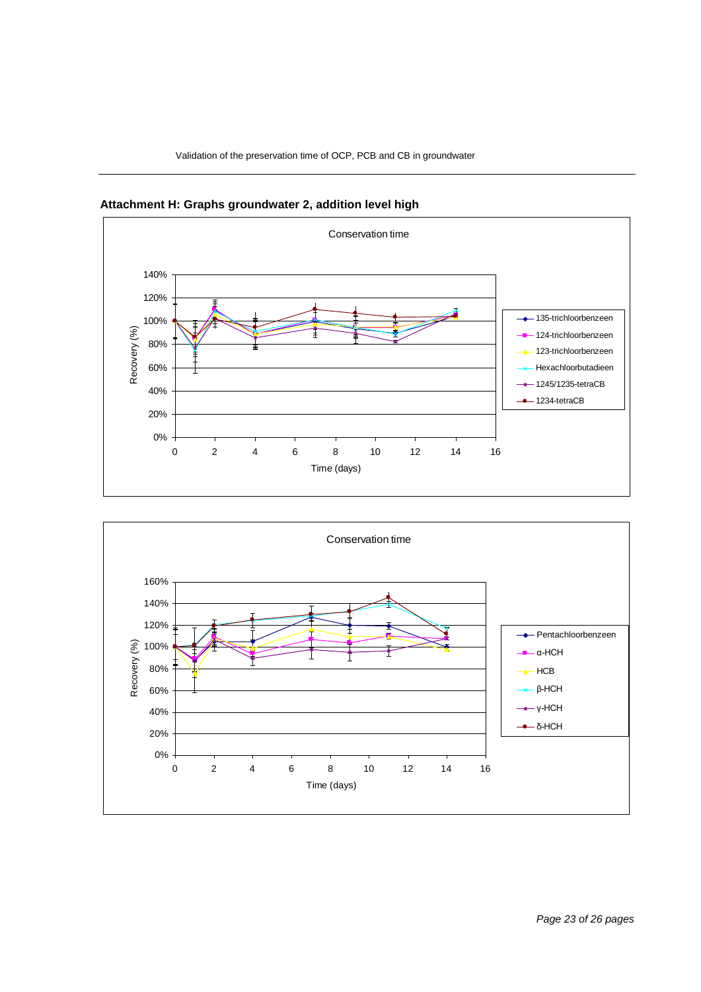

**Attachment H: Graphs groundwater 2, addition level high**

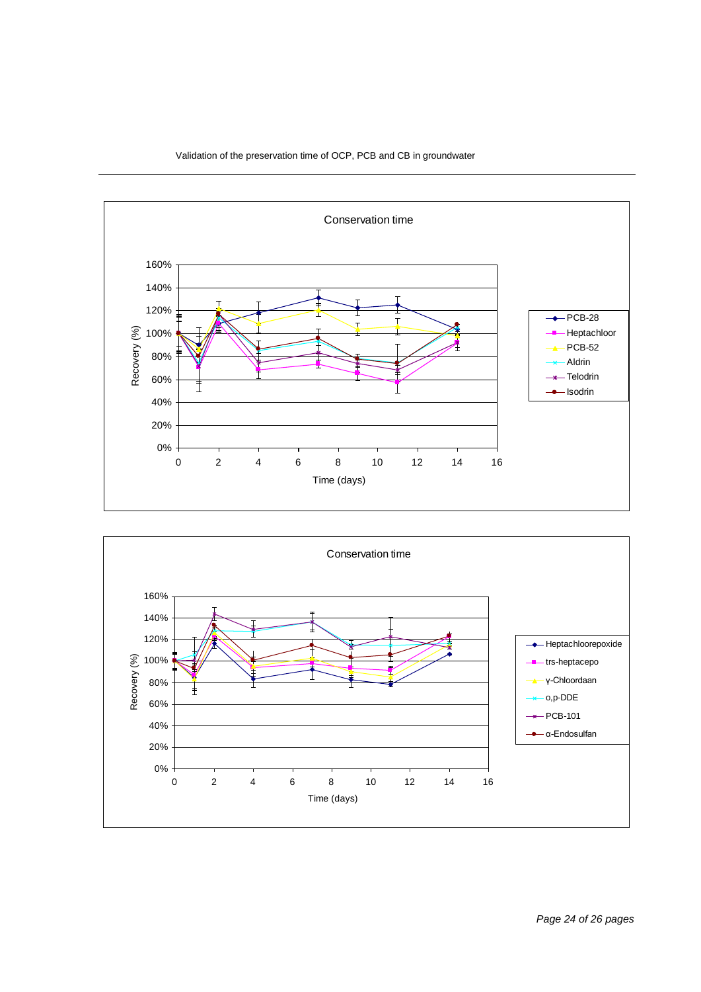



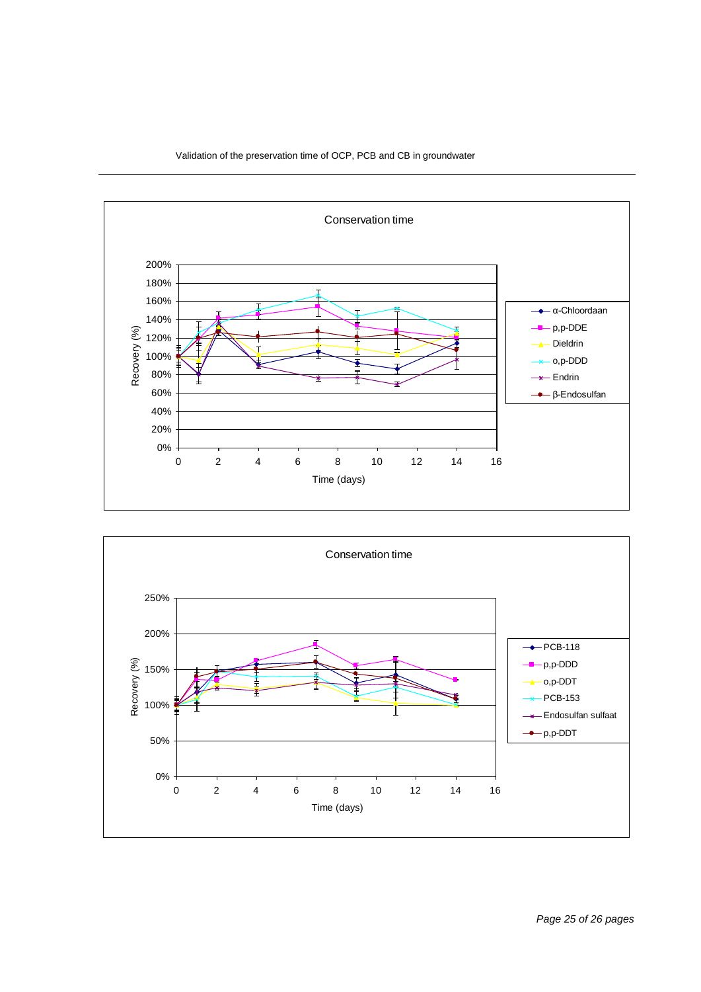